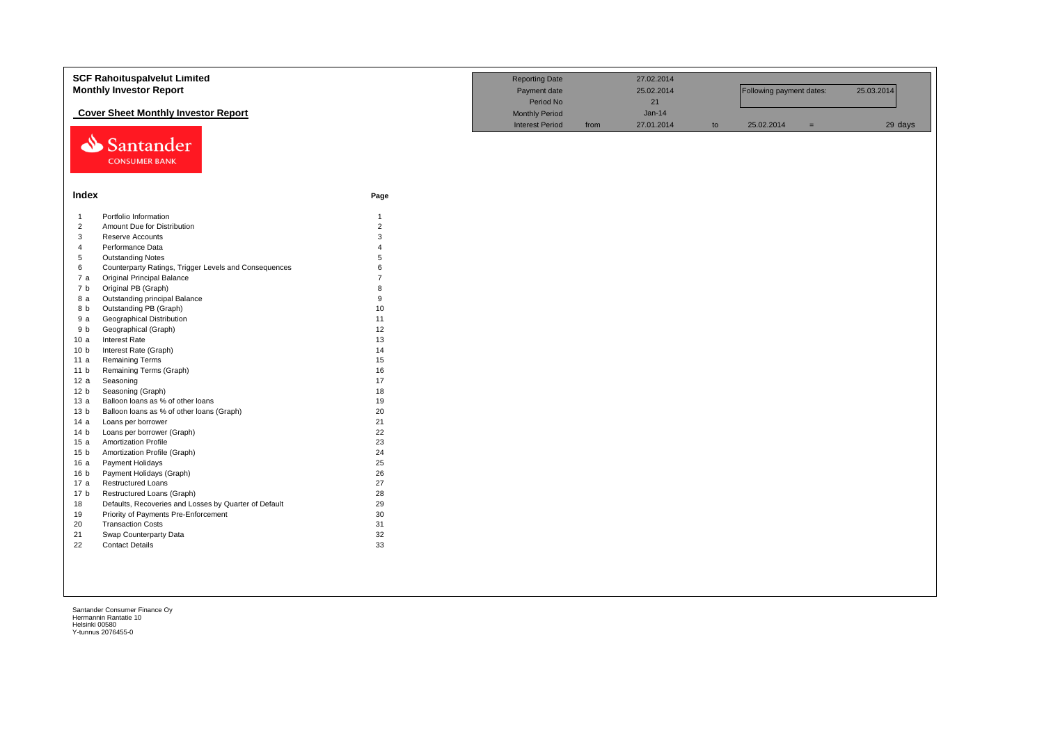|                 | <b>SCF Rahoituspalvelut Limited</b>                   |                | <b>Reporting Date</b>  |      | 27.02.2014 |    |                          |     |            |
|-----------------|-------------------------------------------------------|----------------|------------------------|------|------------|----|--------------------------|-----|------------|
|                 | <b>Monthly Investor Report</b>                        |                | Payment date           |      | 25.02.2014 |    | Following payment dates: |     | 25.03.2014 |
|                 |                                                       |                | Period No              |      | 21         |    |                          |     |            |
|                 | <b>Cover Sheet Monthly Investor Report</b>            |                | <b>Monthly Period</b>  |      | $Jan-14$   |    |                          |     |            |
|                 |                                                       |                | <b>Interest Period</b> | from | 27.01.2014 | to | 25.02.2014               | $=$ | 29 days    |
| ⇘               | Santander<br><b>CONSUMER BANK</b>                     |                |                        |      |            |    |                          |     |            |
|                 |                                                       |                |                        |      |            |    |                          |     |            |
|                 |                                                       |                |                        |      |            |    |                          |     |            |
| Index           |                                                       | Page           |                        |      |            |    |                          |     |            |
| $\overline{1}$  | Portfolio Information                                 | $\mathbf{1}$   |                        |      |            |    |                          |     |            |
| $\overline{2}$  | Amount Due for Distribution                           | $\overline{2}$ |                        |      |            |    |                          |     |            |
| 3               | Reserve Accounts                                      | 3              |                        |      |            |    |                          |     |            |
| $\overline{4}$  | Performance Data                                      | $\Delta$       |                        |      |            |    |                          |     |            |
| 5               | <b>Outstanding Notes</b>                              | 5              |                        |      |            |    |                          |     |            |
| 6               | Counterparty Ratings, Trigger Levels and Consequences | 6              |                        |      |            |    |                          |     |            |
| 7a              | <b>Original Principal Balance</b>                     | $\overline{7}$ |                        |      |            |    |                          |     |            |
| 7 <sub>b</sub>  | Original PB (Graph)                                   | R              |                        |      |            |    |                          |     |            |
| 8 a             | Outstanding principal Balance                         | 9              |                        |      |            |    |                          |     |            |
| 8 b             | Outstanding PB (Graph)                                | 10             |                        |      |            |    |                          |     |            |
| 9a              | <b>Geographical Distribution</b>                      | 11             |                        |      |            |    |                          |     |            |
| 9 b             | Geographical (Graph)                                  | 12             |                        |      |            |    |                          |     |            |
| 10a             | Interest Rate                                         | 13             |                        |      |            |    |                          |     |            |
| 10 <sub>b</sub> | Interest Rate (Graph)                                 | 14             |                        |      |            |    |                          |     |            |
| 11 a            | Remaining Terms                                       | 15             |                        |      |            |    |                          |     |            |
| 11 <sub>b</sub> | Remaining Terms (Graph)                               | 16             |                        |      |            |    |                          |     |            |
| 12a             | Seasoning                                             | 17             |                        |      |            |    |                          |     |            |
| 12 <sub>b</sub> | Seasoning (Graph)                                     | 18             |                        |      |            |    |                          |     |            |
| 13a             | Balloon loans as % of other loans                     | 19             |                        |      |            |    |                          |     |            |
| 13 <sub>b</sub> | Balloon loans as % of other loans (Graph)             | 20             |                        |      |            |    |                          |     |            |
| 14 a            | Loans per borrower                                    | 21             |                        |      |            |    |                          |     |            |
| 14 <sub>b</sub> | Loans per borrower (Graph)                            | 22             |                        |      |            |    |                          |     |            |
| 15 a            | <b>Amortization Profile</b>                           | 23             |                        |      |            |    |                          |     |            |
| 15 <sub>b</sub> | Amortization Profile (Graph)                          | 24             |                        |      |            |    |                          |     |            |
| 16 a            | Payment Holidays                                      | 25             |                        |      |            |    |                          |     |            |
| 16 <sub>b</sub> | Payment Holidays (Graph)                              | 26             |                        |      |            |    |                          |     |            |
| 17 a            | <b>Restructured Loans</b>                             | 27             |                        |      |            |    |                          |     |            |
| 17 <sub>b</sub> | Restructured Loans (Graph)                            | 28             |                        |      |            |    |                          |     |            |
| 18              | Defaults, Recoveries and Losses by Quarter of Default | 29             |                        |      |            |    |                          |     |            |
| 19              | Priority of Payments Pre-Enforcement                  | 30             |                        |      |            |    |                          |     |            |
| 20              | <b>Transaction Costs</b>                              | 31             |                        |      |            |    |                          |     |            |
| 21              | Swap Counterparty Data                                | 32             |                        |      |            |    |                          |     |            |
| 22              | <b>Contact Details</b>                                | 33             |                        |      |            |    |                          |     |            |
|                 |                                                       |                |                        |      |            |    |                          |     |            |
|                 |                                                       |                |                        |      |            |    |                          |     |            |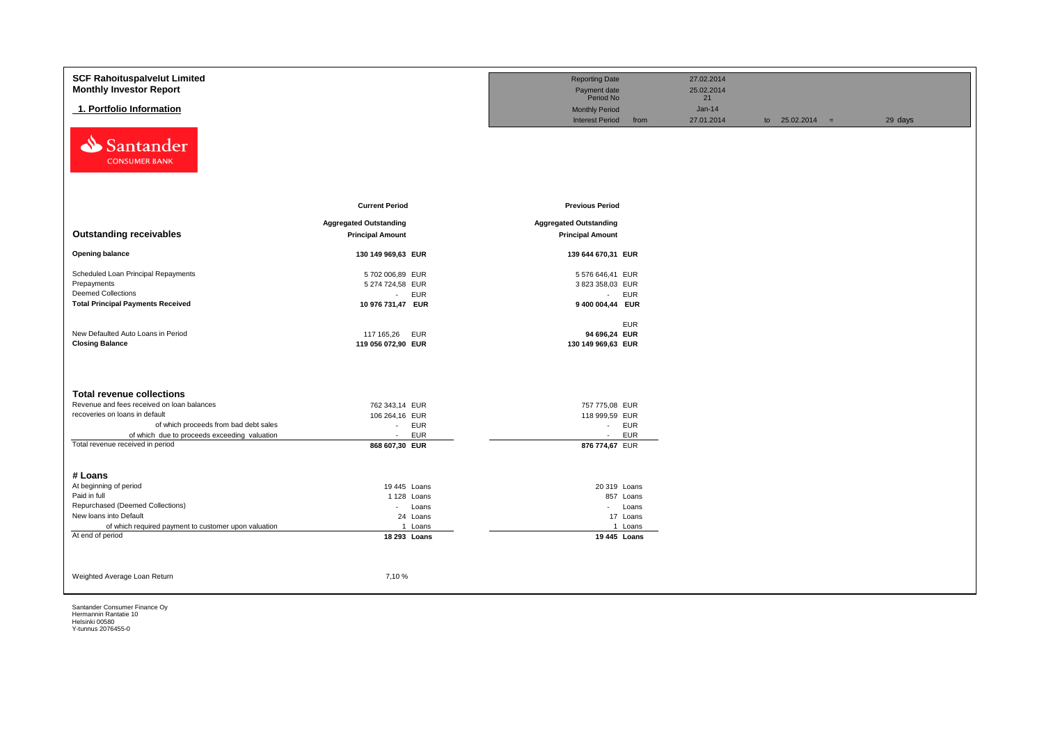| <b>SCF Rahoituspalvelut Limited</b>                  |                               | <b>Reporting Date</b>          | 27.02.2014 |                   |         |
|------------------------------------------------------|-------------------------------|--------------------------------|------------|-------------------|---------|
| <b>Monthly Investor Report</b>                       |                               | Payment date                   | 25.02.2014 |                   |         |
|                                                      |                               | Period No                      | 21         |                   |         |
| 1. Portfolio Information                             |                               | <b>Monthly Period</b>          | $Jan-14$   |                   |         |
|                                                      |                               | <b>Interest Period</b><br>from | 27.01.2014 | to $25.02.2014 =$ | 29 days |
| Santander<br>⇘<br><b>CONSUMER BANK</b>               |                               |                                |            |                   |         |
|                                                      | <b>Current Period</b>         | <b>Previous Period</b>         |            |                   |         |
|                                                      |                               |                                |            |                   |         |
|                                                      | <b>Aggregated Outstanding</b> | <b>Aggregated Outstanding</b>  |            |                   |         |
| <b>Outstanding receivables</b>                       | <b>Principal Amount</b>       | <b>Principal Amount</b>        |            |                   |         |
| <b>Opening balance</b>                               | 130 149 969,63 EUR            | 139 644 670,31 EUR             |            |                   |         |
| Scheduled Loan Principal Repayments                  | 5702 006,89 EUR               | 5 576 646,41 EUR               |            |                   |         |
| Prepayments                                          | 5 274 724,58 EUR              | 3 823 358,03 EUR               |            |                   |         |
| <b>Deemed Collections</b>                            | <b>EUR</b><br>$\sim$          | <b>EUR</b><br>$\sim 100$       |            |                   |         |
| <b>Total Principal Payments Received</b>             | 10 976 731,47 EUR             | 9 400 004,44 EUR               |            |                   |         |
|                                                      |                               |                                |            |                   |         |
|                                                      |                               | <b>EUR</b>                     |            |                   |         |
| New Defaulted Auto Loans in Period                   | 117 165,26<br>EUR             | 94 696,24 EUR                  |            |                   |         |
| <b>Closing Balance</b>                               | 119 056 072,90 EUR            | 130 149 969,63 EUR             |            |                   |         |
|                                                      |                               |                                |            |                   |         |
|                                                      |                               |                                |            |                   |         |
| <b>Total revenue collections</b>                     |                               |                                |            |                   |         |
| Revenue and fees received on loan balances           | 762 343,14 EUR                | 757 775,08 EUR                 |            |                   |         |
| recoveries on loans in default                       | 106 264,16 EUR                | 118 999,59 EUR                 |            |                   |         |
| of which proceeds from bad debt sales                | EUR<br>$\sim$                 | - EUR                          |            |                   |         |
| of which due to proceeds exceeding valuation         | <b>EUR</b><br>$\sim$          | <b>EUR</b><br>$\sim$           |            |                   |         |
| Total revenue received in period                     | 868 607,30 EUR                | 876 774,67 EUR                 |            |                   |         |
|                                                      |                               |                                |            |                   |         |
|                                                      |                               |                                |            |                   |         |
| # Loans                                              |                               |                                |            |                   |         |
| At beginning of period<br>Paid in full               | 19 445 Loans                  | 20 319 Loans                   |            |                   |         |
| Repurchased (Deemed Collections)                     | 1 128 Loans<br>$\sim$         | 857 Loans                      |            |                   |         |
| New loans into Default                               | Loans<br>24 Loans             | - Loans<br>17 Loans            |            |                   |         |
| of which required payment to customer upon valuation | 1 Loans                       | 1 Loans                        |            |                   |         |
| At end of period                                     | 18 293 Loans                  | 19 445 Loans                   |            |                   |         |
|                                                      |                               |                                |            |                   |         |
|                                                      |                               |                                |            |                   |         |
|                                                      |                               |                                |            |                   |         |
| Weighted Average Loan Return                         | 7,10 %                        |                                |            |                   |         |
|                                                      |                               |                                |            |                   |         |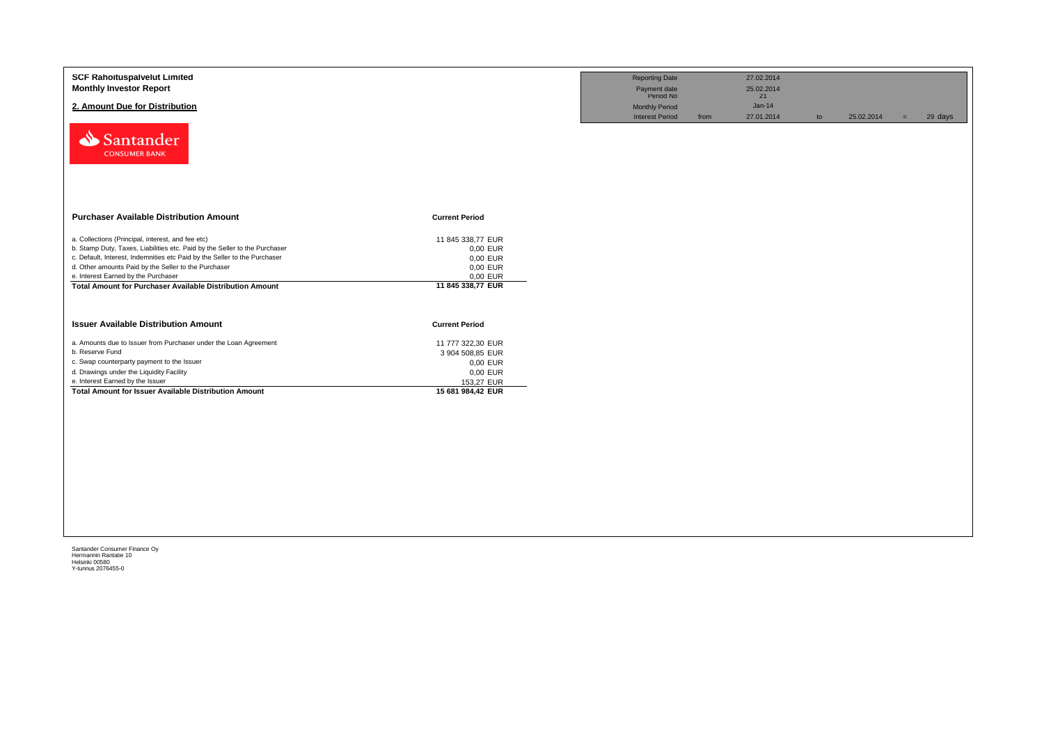| <b>SCF Rahoituspalvelut Limited</b><br><b>Monthly Investor Report</b>                     |                       | <b>Reporting Date</b><br>Payment date<br>Period No |      | 27.02.2014<br>25.02.2014<br>21 |    |            |     |         |
|-------------------------------------------------------------------------------------------|-----------------------|----------------------------------------------------|------|--------------------------------|----|------------|-----|---------|
| 2. Amount Due for Distribution                                                            |                       | <b>Monthly Period</b><br><b>Interest Period</b>    | from | $Jan-14$<br>27.01.2014         | to | 25.02.2014 | $=$ | 29 days |
| Santander<br><b>CONSUMER BANK</b>                                                         |                       |                                                    |      |                                |    |            |     |         |
| <b>Purchaser Available Distribution Amount</b>                                            | <b>Current Period</b> |                                                    |      |                                |    |            |     |         |
| a. Collections (Principal, interest, and fee etc)                                         | 11 845 338,77 EUR     |                                                    |      |                                |    |            |     |         |
| b. Stamp Duty, Taxes, Liabilities etc. Paid by the Seller to the Purchaser                | 0,00 EUR              |                                                    |      |                                |    |            |     |         |
| c. Default, Interest, Indemnities etc Paid by the Seller to the Purchaser                 | 0,00 EUR              |                                                    |      |                                |    |            |     |         |
| d. Other amounts Paid by the Seller to the Purchaser                                      | 0,00 EUR              |                                                    |      |                                |    |            |     |         |
| e. Interest Earned by the Purchaser                                                       | 0,00 EUR              |                                                    |      |                                |    |            |     |         |
| <b>Total Amount for Purchaser Available Distribution Amount</b>                           | 11 845 338,77 EUR     |                                                    |      |                                |    |            |     |         |
| <b>Issuer Available Distribution Amount</b>                                               | <b>Current Period</b> |                                                    |      |                                |    |            |     |         |
| a. Amounts due to Issuer from Purchaser under the Loan Agreement                          | 11 777 322,30 EUR     |                                                    |      |                                |    |            |     |         |
| b. Reserve Fund                                                                           | 3 904 508,85 EUR      |                                                    |      |                                |    |            |     |         |
| c. Swap counterparty payment to the Issuer                                                | 0,00 EUR              |                                                    |      |                                |    |            |     |         |
| d. Drawings under the Liquidity Facility                                                  | 0,00 EUR              |                                                    |      |                                |    |            |     |         |
|                                                                                           | 153,27 EUR            |                                                    |      |                                |    |            |     |         |
| e. Interest Earned by the Issuer<br>Total Amount for Issuer Available Distribution Amount | 15 681 984,42 EUR     |                                                    |      |                                |    |            |     |         |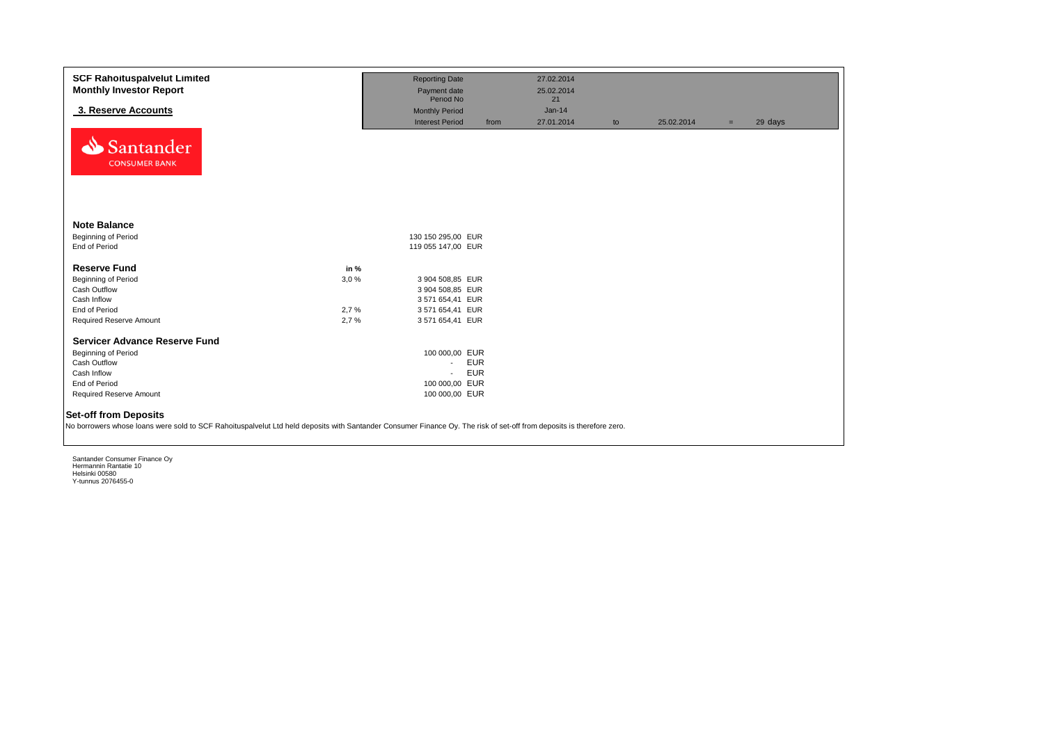| <b>SCF Rahoituspalvelut Limited</b><br><b>Monthly Investor Report</b>                                                                                                                                 |      | <b>Reporting Date</b><br>Payment date |            | 27.02.2014<br>25.02.2014 |    |            |     |         |
|-------------------------------------------------------------------------------------------------------------------------------------------------------------------------------------------------------|------|---------------------------------------|------------|--------------------------|----|------------|-----|---------|
|                                                                                                                                                                                                       |      | Period No                             |            | 21                       |    |            |     |         |
| 3. Reserve Accounts                                                                                                                                                                                   |      | <b>Monthly Period</b>                 |            | $Jan-14$                 |    |            |     |         |
|                                                                                                                                                                                                       |      | <b>Interest Period</b>                | from       | 27.01.2014               | to | 25.02.2014 | $=$ | 29 days |
| Santander<br><b>CONSUMER BANK</b>                                                                                                                                                                     |      |                                       |            |                          |    |            |     |         |
| <b>Note Balance</b><br><b>Beginning of Period</b>                                                                                                                                                     |      | 130 150 295,00 EUR                    |            |                          |    |            |     |         |
| End of Period                                                                                                                                                                                         |      | 119 055 147,00 EUR                    |            |                          |    |            |     |         |
| <b>Reserve Fund</b>                                                                                                                                                                                   | in % |                                       |            |                          |    |            |     |         |
| <b>Beginning of Period</b>                                                                                                                                                                            | 3,0% | 3 904 508,85 EUR                      |            |                          |    |            |     |         |
| Cash Outflow                                                                                                                                                                                          |      | 3 904 508,85 EUR                      |            |                          |    |            |     |         |
| Cash Inflow                                                                                                                                                                                           |      | 3 571 654,41 EUR                      |            |                          |    |            |     |         |
| End of Period                                                                                                                                                                                         | 2,7% | 3 571 654,41 EUR                      |            |                          |    |            |     |         |
| Required Reserve Amount                                                                                                                                                                               | 2.7% | 3 571 654,41 EUR                      |            |                          |    |            |     |         |
| <b>Servicer Advance Reserve Fund</b>                                                                                                                                                                  |      |                                       |            |                          |    |            |     |         |
| Beginning of Period                                                                                                                                                                                   |      | 100 000,00 EUR                        |            |                          |    |            |     |         |
| Cash Outflow                                                                                                                                                                                          |      | $\sim$                                | <b>EUR</b> |                          |    |            |     |         |
| Cash Inflow                                                                                                                                                                                           |      |                                       | <b>EUR</b> |                          |    |            |     |         |
| End of Period                                                                                                                                                                                         |      | 100 000,00 EUR                        |            |                          |    |            |     |         |
| Required Reserve Amount                                                                                                                                                                               |      | 100 000,00 EUR                        |            |                          |    |            |     |         |
| <b>Set-off from Deposits</b><br>No borrowers whose loans were sold to SCF Rahoituspalvelut Ltd held deposits with Santander Consumer Finance Oy. The risk of set-off from deposits is therefore zero. |      |                                       |            |                          |    |            |     |         |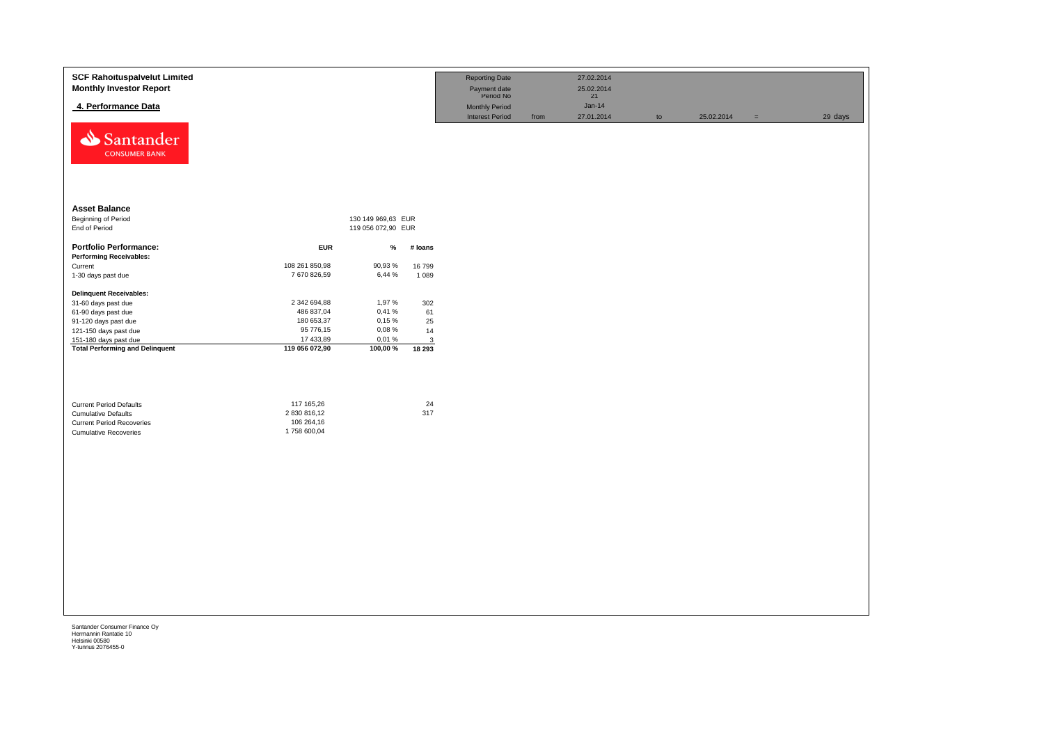| <b>SCF Rahoituspalvelut Limited</b><br><b>Monthly Investor Report</b>                                                            |                                                         |                    |                    | <b>Reporting Date</b><br>Payment date<br>Period No |      | 27.02.2014<br>25.02.2014<br>21 |    |            |     |         |
|----------------------------------------------------------------------------------------------------------------------------------|---------------------------------------------------------|--------------------|--------------------|----------------------------------------------------|------|--------------------------------|----|------------|-----|---------|
| 4. Performance Data                                                                                                              |                                                         |                    |                    | <b>Monthly Period</b><br><b>Interest Period</b>    | from | $Jan-14$<br>27.01.2014         | to | 25.02.2014 | $=$ | 29 days |
| Santander<br><b>CONSUMER BANK</b>                                                                                                |                                                         |                    |                    |                                                    |      |                                |    |            |     |         |
| <b>Asset Balance</b>                                                                                                             |                                                         |                    |                    |                                                    |      |                                |    |            |     |         |
| Beginning of Period                                                                                                              |                                                         | 130 149 969,63 EUR |                    |                                                    |      |                                |    |            |     |         |
| End of Period                                                                                                                    |                                                         | 119 056 072,90 EUR |                    |                                                    |      |                                |    |            |     |         |
| <b>Portfolio Performance:</b><br><b>Performing Receivables:</b>                                                                  | <b>EUR</b>                                              | $\%$               | # loans            |                                                    |      |                                |    |            |     |         |
| Current                                                                                                                          | 108 261 850,98                                          | 90,93%             | 16799              |                                                    |      |                                |    |            |     |         |
| 1-30 days past due                                                                                                               | 7 670 826,59                                            | 6,44 %             | 1 0 8 9            |                                                    |      |                                |    |            |     |         |
| <b>Delinquent Receivables:</b>                                                                                                   |                                                         |                    |                    |                                                    |      |                                |    |            |     |         |
| 31-60 days past due                                                                                                              | 2 342 694,88                                            | 1,97%              | 302                |                                                    |      |                                |    |            |     |         |
| 61-90 days past due                                                                                                              | 486 837,04                                              | 0,41%              | 61                 |                                                    |      |                                |    |            |     |         |
| 91-120 days past due                                                                                                             | 180 653,37                                              | 0,15%              | 25                 |                                                    |      |                                |    |            |     |         |
| 121-150 days past due<br>151-180 days past due                                                                                   | 95 776,15<br>17 433,89                                  | 0,08%<br>0,01%     | 14<br>$\mathbf{3}$ |                                                    |      |                                |    |            |     |         |
| <b>Total Performing and Delinquent</b>                                                                                           | 119 056 072,90                                          | 100,00%            | 18 29 3            |                                                    |      |                                |    |            |     |         |
| <b>Current Period Defaults</b><br><b>Cumulative Defaults</b><br><b>Current Period Recoveries</b><br><b>Cumulative Recoveries</b> | 117 165,26<br>2 830 816,12<br>106 264,16<br>1758 600,04 |                    | 24<br>317          |                                                    |      |                                |    |            |     |         |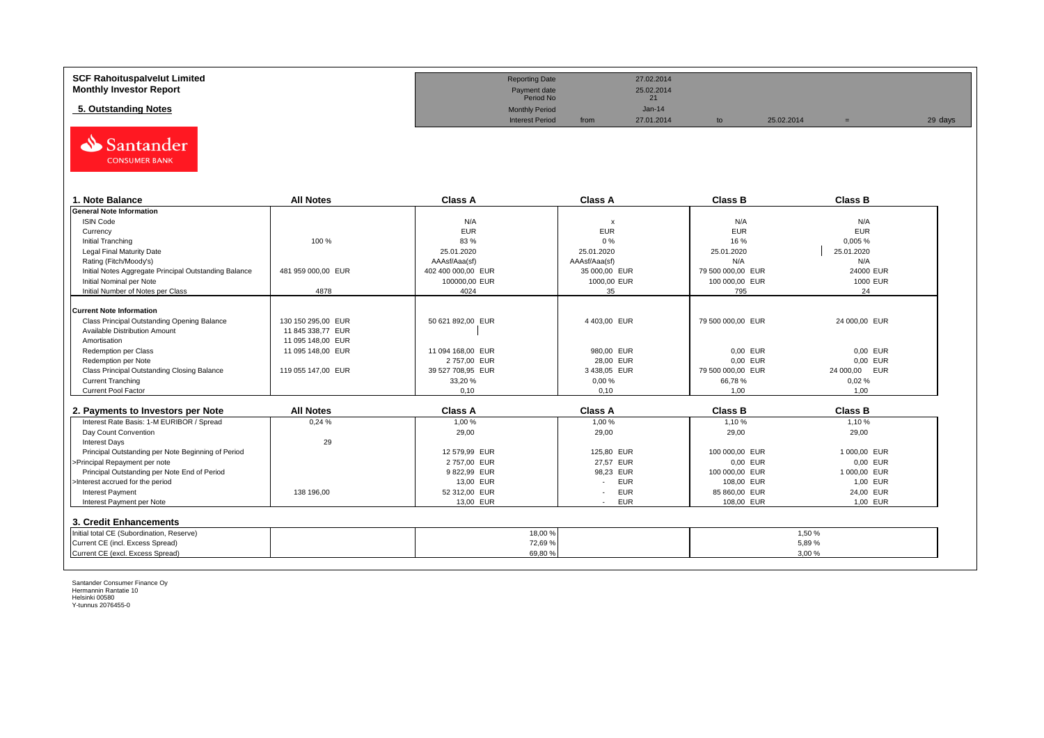| <b>SCF Rahoituspalvelut Limited</b> | <b>Reporting Date</b>     |      | 27.02.2014 |            |         |
|-------------------------------------|---------------------------|------|------------|------------|---------|
| <b>Monthly Investor Report</b>      | Payment date<br>Period No |      | 25.02.2014 |            |         |
| 5. Outstanding Notes                | <b>Monthly Period</b>     |      | $Jan-14$   |            |         |
|                                     | <b>Interest Period</b>    | from | 27.01.2014 | 25.02.2014 | 29 days |



| . Note Balance                                        | <b>All Notes</b>   | Class A            | <b>Class A</b>            | <b>Class B</b>    | <b>Class B</b> |
|-------------------------------------------------------|--------------------|--------------------|---------------------------|-------------------|----------------|
| <b>General Note Information</b>                       |                    |                    |                           |                   |                |
| <b>ISIN Code</b>                                      |                    | N/A                | $\boldsymbol{\mathsf{x}}$ | N/A               | N/A            |
| Currency                                              |                    | <b>EUR</b>         | <b>EUR</b>                | EUR               | <b>EUR</b>     |
| Initial Tranching                                     | 100 %              | 83%                | 0%                        | 16 %              | 0,005%         |
| Legal Final Maturity Date                             |                    | 25.01.2020         | 25.01.2020                | 25.01.2020        | 25.01.2020     |
| Rating (Fitch/Moody's)                                |                    | AAAsf/Aaa(sf)      | AAAsf/Aaa(sf)             | N/A               | N/A            |
| Initial Notes Aggregate Principal Outstanding Balance | 481 959 000.00 EUR | 402 400 000,00 EUR | 35 000,00 EUR             | 79 500 000,00 EUR | 24000 EUR      |
| Initial Nominal per Note                              |                    | 100000,00 EUR      | 1000,00 EUR               | 100 000,00 EUR    | 1000 EUR       |
| Initial Number of Notes per Class                     | 4878               | 4024               | 35                        | 795               | 24             |
|                                                       |                    |                    |                           |                   |                |
| Current Note Information                              |                    |                    |                           |                   |                |
| Class Principal Outstanding Opening Balance           | 130 150 295.00 EUR | 50 621 892.00 EUR  | 4 403,00 EUR              | 79 500 000.00 EUR | 24 000,00 EUR  |
| Available Distribution Amount                         | 11 845 338.77 EUR  |                    |                           |                   |                |
| Amortisation                                          | 11 095 148.00 EUR  |                    |                           |                   |                |
| Redemption per Class                                  | 11 095 148,00 EUR  | 11 094 168,00 EUR  | 980,00 EUR                | 0,00 EUR          | 0,00 EUR       |
| Redemption per Note                                   |                    | 2757.00 EUR        | 28,00 EUR                 | 0,00 EUR          | 0,00 EUR       |
| Class Principal Outstanding Closing Balance           | 119 055 147,00 EUR | 39 527 708,95 EUR  | 3 438,05 EUR              | 79 500 000,00 EUR | 24 000,00 EUR  |
| <b>Current Tranching</b>                              |                    | 33,20 %            | 0,00%                     | 66,78%            | 0.02%          |
| <b>Current Pool Factor</b>                            |                    | 0.10               | 0.10                      | 1.00              | 1.00           |

| 2. Payments to Investors per Note                  | <b>All Notes</b> | <b>Class A</b> | <b>Class A</b>                         | <b>Class B</b> | Class B      |
|----------------------------------------------------|------------------|----------------|----------------------------------------|----------------|--------------|
| Interest Rate Basis: 1-M EURIBOR / Spread          | 0.24%            | 1.00 %         | 1.00 %                                 | 1.10 %         | 1.10%        |
| Day Count Convention                               |                  | 29,00          | 29,00                                  | 29,00          | 29,00        |
| <b>Interest Days</b>                               | 29               |                |                                        |                |              |
| Principal Outstanding per Note Beginning of Period |                  | 12 579.99 EUR  | 125.80 EUR                             | 100 000,00 EUR | 1 000.00 EUR |
| >Principal Repayment per note                      |                  | 2757.00 EUR    | 27.57 EUR                              | 0.00 EUR       | 0.00 EUR     |
| Principal Outstanding per Note End of Period       |                  | 9822.99 EUR    | 98.23 EUR                              | 100 000,00 EUR | 1 000,00 EUR |
| >Interest accrued for the period                   |                  | 13.00 EUR      | EUR<br>$\overline{\phantom{a}}$        | 108.00 EUR     | 1.00 EUR     |
| <b>Interest Payment</b>                            | 138 196.00       | 52 312.00 EUR  | <b>EUR</b><br>$\overline{\phantom{a}}$ | 85 860.00 EUR  | 24.00 EUR    |
| Interest Payment per Note                          |                  | 13.00 EUR      | EUR<br>$\overline{\phantom{a}}$        | 108,00 EUR     | 1,00 EUR     |
| 3. Credit Enhancements                             |                  |                |                                        |                |              |
| Initial total CE (Subordination, Reserve)          |                  | 18,00 %        |                                        |                | 1.50 %       |
| Current CE (incl. Excess Spread)                   |                  | 72,69 %        |                                        |                | 5.89%        |
| Current CE (excl. Excess Spread)                   |                  | 69,80 %        |                                        |                | 3,00 %       |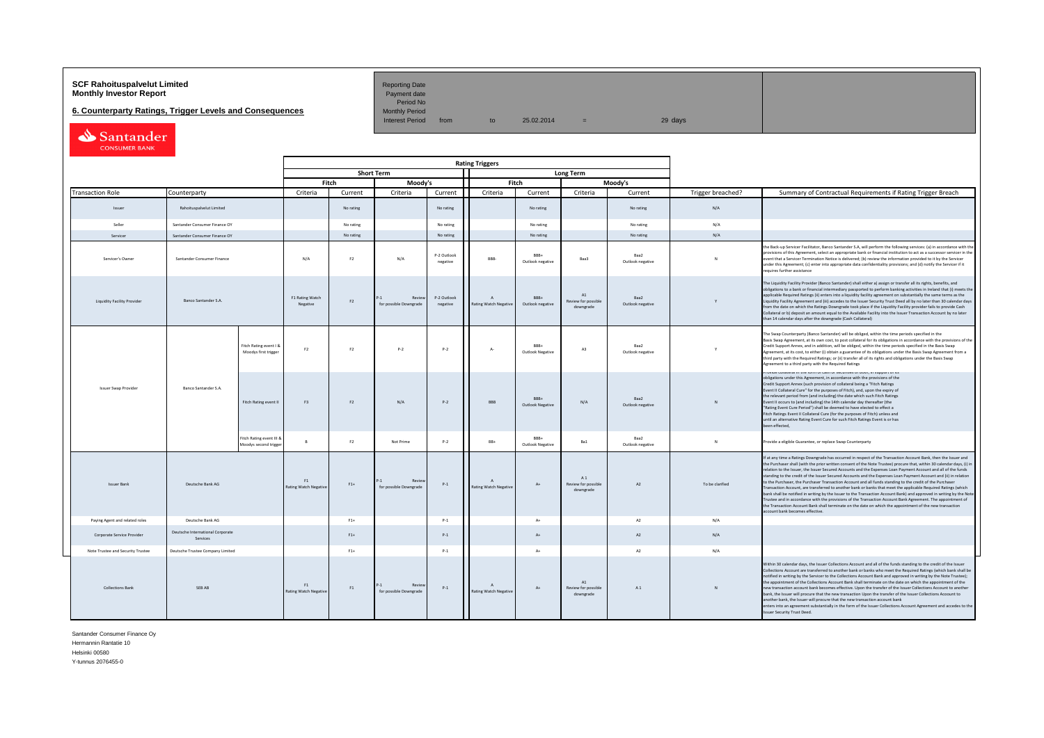# **SCF Rahoituspalvelut Limited Accord Reporting Date**<br>**Monthly Investor Report** Payment date **Payment date**

**6. Counterparty Ratings, Trigger Levels and Consequences** 

Period No<br>Monthly Period

Interest Period from to  $25.02.2014 =$  29 days

Santander

|                                                            |                                              |                                                   |                                    |                |                                        |                         | <b>Rating Triggers</b>             |                                 |                                        |                          |                   |                                                                                                                                                                                                                                                                                                                                                                                                                                                                                                                                                                                                                                                                                                                                                                                                                                                                                                                                                                                                                                                                                                      |
|------------------------------------------------------------|----------------------------------------------|---------------------------------------------------|------------------------------------|----------------|----------------------------------------|-------------------------|------------------------------------|---------------------------------|----------------------------------------|--------------------------|-------------------|------------------------------------------------------------------------------------------------------------------------------------------------------------------------------------------------------------------------------------------------------------------------------------------------------------------------------------------------------------------------------------------------------------------------------------------------------------------------------------------------------------------------------------------------------------------------------------------------------------------------------------------------------------------------------------------------------------------------------------------------------------------------------------------------------------------------------------------------------------------------------------------------------------------------------------------------------------------------------------------------------------------------------------------------------------------------------------------------------|
|                                                            |                                              |                                                   |                                    |                | <b>Short Term</b>                      |                         |                                    |                                 | Long Term                              |                          |                   |                                                                                                                                                                                                                                                                                                                                                                                                                                                                                                                                                                                                                                                                                                                                                                                                                                                                                                                                                                                                                                                                                                      |
|                                                            |                                              |                                                   |                                    | Fitch          | Moody's                                |                         |                                    | Fitch                           |                                        | Moody's                  |                   |                                                                                                                                                                                                                                                                                                                                                                                                                                                                                                                                                                                                                                                                                                                                                                                                                                                                                                                                                                                                                                                                                                      |
| <b>Transaction Role</b>                                    | Counterparty                                 |                                                   | Criteria                           | Current        | Criteria                               | Current                 | Criteria                           | Current                         | Criteria                               | Current                  | Trigger breached? | Summary of Contractual Requirements if Rating Trigger Breach                                                                                                                                                                                                                                                                                                                                                                                                                                                                                                                                                                                                                                                                                                                                                                                                                                                                                                                                                                                                                                         |
| Issuer                                                     | Rahoituspalvelut Limited                     |                                                   |                                    | No rating      |                                        | No rating               |                                    | No rating                       |                                        | No rating                | N/A               |                                                                                                                                                                                                                                                                                                                                                                                                                                                                                                                                                                                                                                                                                                                                                                                                                                                                                                                                                                                                                                                                                                      |
| Seller                                                     | Santander Consumer Finance OY                |                                                   |                                    | No rating      |                                        | No rating               |                                    | No rating                       |                                        | No rating                | N/A               |                                                                                                                                                                                                                                                                                                                                                                                                                                                                                                                                                                                                                                                                                                                                                                                                                                                                                                                                                                                                                                                                                                      |
| Servicer                                                   | Santander Consumer Finance OY                |                                                   |                                    | No rating      |                                        | No rating               |                                    | No rating                       |                                        | No rating                | N/A               |                                                                                                                                                                                                                                                                                                                                                                                                                                                                                                                                                                                                                                                                                                                                                                                                                                                                                                                                                                                                                                                                                                      |
| Servicer's Owner                                           | Santander Consumer Finance                   |                                                   | N/A                                | F2             | N/A                                    | P-2 Outlook<br>negative | RRR-                               | BRR+<br>Outlook negative        | Baa3                                   | Baa2<br>Outlook negative | $\mathbf{N}$      | the Back-up Servicer Facilitator, Banco Santander S.A, will perform the following services: (a) in accordance with the<br>provisions of this Agreement, select an appropriate bank or financial institution to act as a successor servicer in the<br>event that a Servicer Termination Notice is delivered; (b) review the information provided to it by the Servicer<br>under this Agreement; (c) enter into appropriate data confidentiality provisions; and (d) notify the Servicer if it<br>requires further assistance                                                                                                                                                                                                                                                                                                                                                                                                                                                                                                                                                                          |
| Banco Santander S.A.<br><b>Liquidity Facility Provider</b> |                                              |                                                   | F1 Rating Watch<br>Negative        | F2             | Review<br>for possible Downgrade       | P-2 Outlook<br>negative | $\Lambda$<br>Rating Watch Negative | BBB+<br>Outlook negative        | A1<br>Review for possible<br>downgrade | Baa2<br>Outlook negative |                   | The Liquidity Facility Provider (Banco Santander) shall either a) assign or transfer all its rights, benefits, and<br>obligations to a bank or financial intermediary passported to perform banking activities in Ireland that (i) meets the<br>applicable Required Ratings (ii) enters into a liquidity facility agreement on substantially the same terms as the<br>Liquidity Facility Agreement and (iii) accedes to the Issuer Security Trust Deed all by no later than 30 calendar days<br>from the date on which the Ratings Downgrade took place if the Liquidity Facility provider fails to provide Cash<br>Collateral or b) deposit an amount equal to the Available Facility into the Issuer Transaction Account by no later<br>than 14 calendar days after the downgrade (Cash Collateral)                                                                                                                                                                                                                                                                                                |
|                                                            |                                              | Fitch Rating event I &<br>Moodys first trigger    | F2                                 | F2             | p. <sub>2</sub>                        | $P-2$                   | $\Lambda$ -                        | <b>BRR4</b><br>Outlook Negative | A3                                     | Baa2<br>Outlook negative |                   | The Swap Counterparty (Banco Santander) will be obliged, within the time periods specified in the<br>Basis Swap Agreement, at its own cost, to post collateral for its obligations in accordance with the provisions of the<br>Credit Support Annex, and in addition, will be obliged, within the time periods specified in the Basis Swap<br>Agreement, at its cost, to either (i) obtain a guarantee of its obligations under the Basis Swap Agreement from a<br>third party with the Required Ratings; or (ii) transfer all of its rights and obligations under the Basis Swap<br>Agreement to a third party with the Required Ratings                                                                                                                                                                                                                                                                                                                                                                                                                                                            |
| Issuer Swap Provider                                       | Banco Santander S.A.                         | Fitch Rating event II                             | F3                                 | F <sub>2</sub> | N/A                                    | $P-2$                   | BBB                                | RRR+<br><b>Outlook Negative</b> | N/A                                    | Baa2<br>Outlook negative | N                 | rovide conacerarin die ionn or casii or securides or bodi, in support or its<br>obligations under this Agreement, in accordance with the provisions of the<br>Credit Support Annex (such provision of collateral being a "Fitch Ratings<br>Event II Collateral Cure" for the purposes of Fitch), and, upon the expiry of<br>the relevant period from (and including) the date which such Fitch Ratings<br>Event II occurs to (and including) the 14th calendar day thereafter (the<br>"Rating Event Cure Period") shall be deemed to have elected to effect a<br>Fitch Ratings Event II Collateral Cure (for the purposes of Fitch) unless and<br>until an alternative Rating Event Cure for such Fitch Ratings Event is or has<br>been effected,                                                                                                                                                                                                                                                                                                                                                    |
|                                                            |                                              | Fitch Rating event III &<br>Moodys second trigger | $\mathbf{R}$                       | F <sub>2</sub> | Not Prime                              | $P-2$                   | RR+                                | BRR+<br><b>Outlook Negative</b> | Ra1                                    | Baa2<br>Outlook negative | $\mathbb{N}$      | Provide a eligible Guarantee, or replace Swap Counterparty                                                                                                                                                                                                                                                                                                                                                                                                                                                                                                                                                                                                                                                                                                                                                                                                                                                                                                                                                                                                                                           |
| <b>Issuer Bank</b>                                         | Deutsche Bank AG                             |                                                   | F1<br><b>Rating Watch Negative</b> | $F1+$          | 41<br>Review<br>for possible Downgrade | $P-1$                   | $\Lambda$<br>Rating Watch Negative | $A+$                            | A1<br>Review for possible<br>downgrade | A2                       | To be clarified   | If at any time a Ratings Downgrade has occurred in respect of the Transaction Account Bank, then the Issuer and<br>the Purchaser shall (with the prior written consent of the Note Trustee) procure that, within 30 calendar days, (i) in<br>relation to the Issuer, the Issuer Secured Accounts and the Expenses Loan Payment Account and all of the funds<br>standing to the credit of the Issuer Secured Accounts and the Expenses Loan Payment Account and (ii) in relation<br>to the Purchaser, the Purchaser Transaction Account and all funds standing to the credit of the Purchaser<br>Transaction Account, are transferred to another bank or banks that meet the applicable Required Ratings (which<br>bank shall be notified in writing by the Issuer to the Transaction Account Bank) and approved in writing by the Note<br>Trustee and in accordance with the provisions of the Transaction Account Bank Agreement. The appointment of<br>the Transaction Account Bank shall terminate on the date on which the appointment of the new transaction<br>account bank becomes effective. |
| Paying Agent and related roles                             | Deutsche Bank AG                             |                                                   |                                    | $F1+$          |                                        | $P-1$                   |                                    | $A+$                            |                                        | A2                       | N/A               |                                                                                                                                                                                                                                                                                                                                                                                                                                                                                                                                                                                                                                                                                                                                                                                                                                                                                                                                                                                                                                                                                                      |
| Corporate Service Provider                                 | Deutsche International Corporate<br>Services |                                                   |                                    | $F1+$          |                                        | $P-1$                   |                                    | $A+$                            |                                        | A2                       | N/A               |                                                                                                                                                                                                                                                                                                                                                                                                                                                                                                                                                                                                                                                                                                                                                                                                                                                                                                                                                                                                                                                                                                      |
| Note Trustee and Security Trustee                          | Deutsche Trustee Company Limited             |                                                   |                                    | $F1+$          |                                        | $P-1$                   |                                    | $A+$                            |                                        | A2                       | N/A               |                                                                                                                                                                                                                                                                                                                                                                                                                                                                                                                                                                                                                                                                                                                                                                                                                                                                                                                                                                                                                                                                                                      |
| Collections Bank                                           | <b>SFRAR</b>                                 |                                                   | F1<br>Rating Watch Negative        | F1             | Revie<br>for possible Downgrade        | $P-1$                   | $\Lambda$<br>Rating Watch Negative | $A+$                            | A1<br>Review for possible<br>downgrade | A1                       | N                 | Within 30 calendar days, the Issuer Collections Account and all of the funds standing to the credit of the Issuer<br>Collections Account are transferred to another bank or banks who meet the Required Ratings (which bank shall be<br>notified in writing by the Servicer to the Collections Account Bank and approved in writing by the Note Trustee);<br>the appointment of the Collections Account Bank shall terminate on the date on which the appointment of the<br>new transaction account bank becomes effective. Upon the transfer of the Issuer Collections Account to another<br>hank the Issuer will procure that the new transaction Upon the transfer of the Issuer Collections Aconunt to<br>another bank, the Issuer will procure that the new transaction account bank<br>enters into an agreement substantially in the form of the Issuer Collections Account Agreement and accedes to the<br><b>Issuer Security Trust Deed.</b>                                                                                                                                                 |

Santander Consumer Finance Oy Hermannin Rantatie 10

Helsinki 00580

Y-tunnus 2076455-0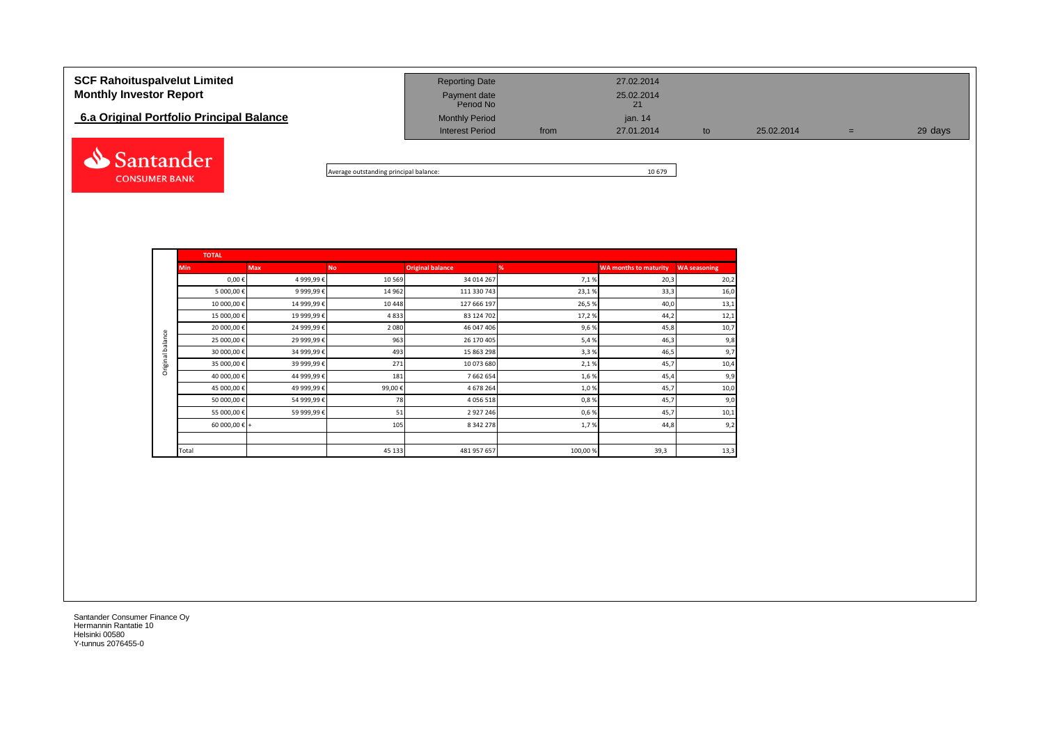# **SCF Rahoituspalvelut Limited** 27.02.2014 **Monthly Investor Report Payment date** 25.02.2014 Payment date<br>Period No **6.a Original Portfolio Principal Balance Monthly Period** Monthly Period jan. 14 Interest Period from 27.01.2014 to 25.02.2014 = 29 days Santander

Average outstanding principal balance: 10 679

|                  | <b>TOTAL</b>           |             |           |                         |         |                              |                     |
|------------------|------------------------|-------------|-----------|-------------------------|---------|------------------------------|---------------------|
|                  | <b>Min</b>             | <b>Max</b>  | <b>No</b> | <b>Original balance</b> | %       | <b>WA months to maturity</b> | <b>WA seasoning</b> |
|                  | $0,00 \in$             | 4 999,99€   | 10 5 69   | 34 014 267              | 7,1%    | 20,3                         | 20,2                |
|                  | 5 000,00€              | 9 999,99€   | 14 9 62   | 111 330 743             | 23,1%   | 33,3                         | 16,0                |
|                  | 10 000,00€             | 14 999,99€  | 10 4 48   | 127 666 197             | 26,5%   | 40,0                         | 13,1                |
|                  | 15 000,00 €            | 19 999,99€  | 4833      | 83 124 702              | 17,2%   | 44,2                         | 12,1                |
|                  | 20 000,00 €            | 24 999,99€  | 2080      | 46 047 406              | 9,6%    | 45,8                         | 10,7                |
| Original balance | 25 000,00 €            | 29 999,99 € | 963       | 26 170 405              | 5,4%    | 46,3                         | 9,8                 |
|                  | 30 000,00 €            | 34 999,99 € | 493       | 15 863 298              | 3,3%    | 46,5                         | 9,7                 |
|                  | 35 000,00 €            | 39 999,99 € | 271       | 10 073 680              | 2,1%    | 45,7                         | 10,4                |
|                  | 40 000,00 €            | 44 999,99€  | 181       | 7 662 654               | 1,6%    | 45,4                         | 9,9                 |
|                  | 45 000,00 €            | 49 999,99 € | 99,00€    | 4 678 264               | 1,0%    | 45,7                         | 10,0                |
|                  | 50 000,00 €            | 54 999,99€  | 78        | 4 0 5 6 5 1 8           | 0,8%    | 45,7                         | 9,0                 |
|                  | 55 000,00 €            | 59 999,99 € | 51        | 2 9 2 7 2 4 6           | 0,6%    | 45,7                         | 10,1                |
|                  | 60 000,00 $\epsilon$ + |             | 105       | 8 342 278               | 1,7%    | 44,8                         | 9,2                 |
|                  |                        |             |           |                         |         |                              |                     |
|                  | Total                  |             | 45 133    | 481 957 657             | 100,00% | 39,3                         | 13,3                |

Santander Consumer Finance Oy Hermannin Rantatie 10 Helsinki 00580 Y-tunnus 2076455-0

**CONSUMER BANK**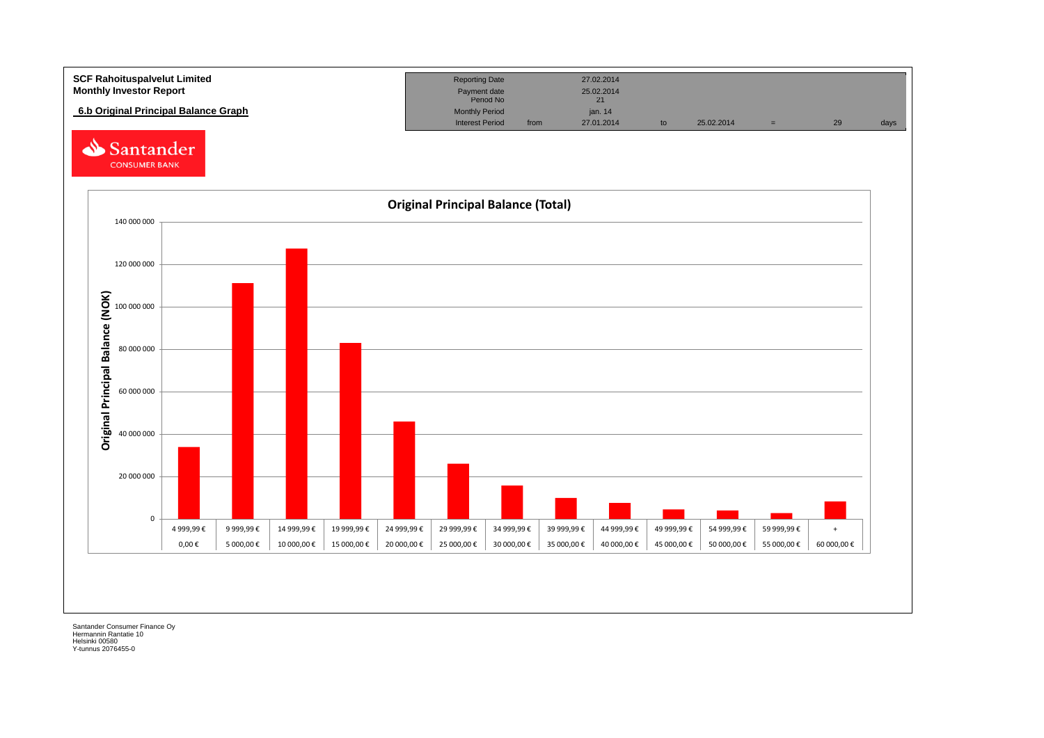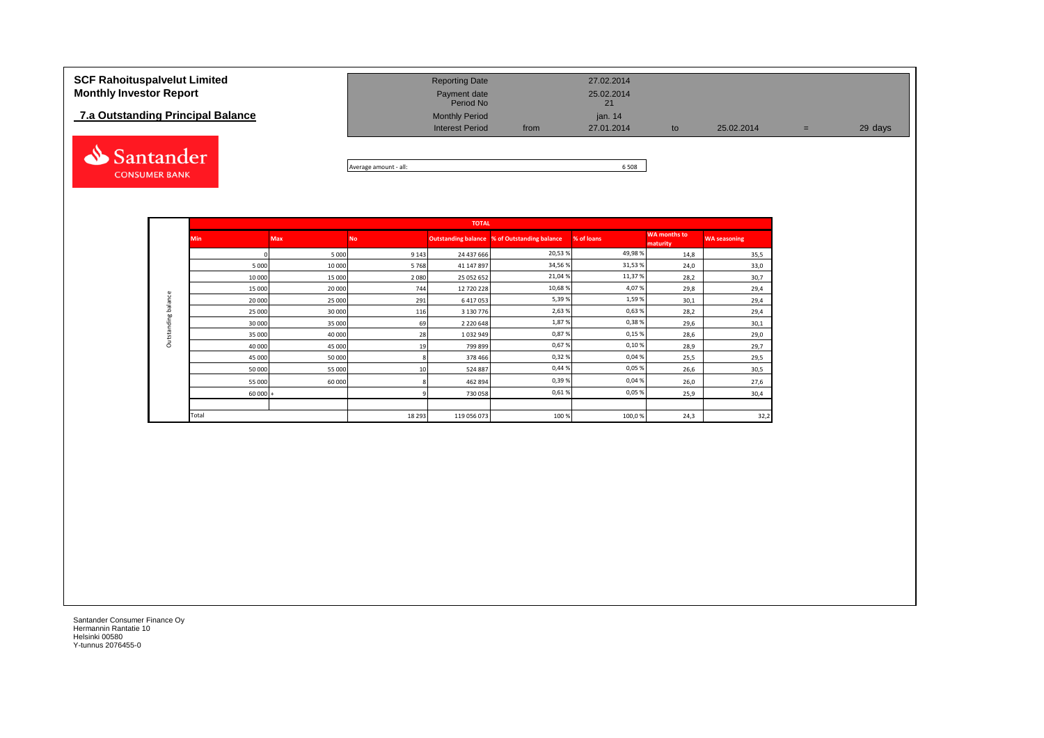## **7.a Outstanding Principal Balance**



| <b>SCF Rahoituspalvelut Limited</b> | <b>Reporting Date</b>                           |      | 27.02.2014              |     |            |     |         |
|-------------------------------------|-------------------------------------------------|------|-------------------------|-----|------------|-----|---------|
| <b>Monthly Investor Report</b>      | Payment date<br>Period No                       |      | 25.02.2014              |     |            |     |         |
| 7.a Outstanding Principal Balance   | <b>Monthly Period</b><br><b>Interest Period</b> | from | jan. $14$<br>27.01.2014 | to. | 25.02.2014 |     | 29 days |
|                                     |                                                 |      |                         |     |            | $=$ |         |

Average amount - all: 6 508

|                     |           |            |           | <b>TOTAL</b>  |                                              |            |                                 |                     |
|---------------------|-----------|------------|-----------|---------------|----------------------------------------------|------------|---------------------------------|---------------------|
|                     | Min       | <b>Max</b> | <b>No</b> |               | Outstanding balance % of Outstanding balance | % of loans | <b>WA months to</b><br>maturity | <b>WA seasoning</b> |
|                     | $\Omega$  | 5 0 0 0    | 9 1 4 3   | 24 437 666    | 20,53%                                       | 49,98%     | 14,8                            | 35,5                |
|                     | 5 0 0 0   | 10 000     | 5768      | 41 147 897    | 34,56%                                       | 31,53%     | 24,0                            | 33,0                |
|                     | 10 000    | 15 000     | 2 0 8 0   | 25 052 652    | 21,04%                                       | 11,37%     | 28,2                            | 30,7                |
|                     | 15 000    | 20 000     | 744       | 12 720 228    | 10,68%                                       | 4,07%      | 29,8                            | 29,4                |
| Outstanding balance | 20 000    | 25 000     | 291       | 6 417 053     | 5,39%                                        | 1,59%      | 30,1                            | 29,4                |
|                     | 25 000    | 30 000     | 116       | 3 130 776     | 2,63%                                        | 0,63%      | 28,2                            | 29,4                |
|                     | 30 000    | 35 000     | 69        | 2 2 2 0 6 4 8 | 1,87%                                        | 0,38%      | 29,6                            | 30,1                |
|                     | 35 000    | 40 000     | 28        | 1032949       | 0,87%                                        | 0,15%      | 28,6                            | 29,0                |
|                     | 40 000    | 45 000     | 19        | 799 899       | 0,67%                                        | 0,10%      | 28,9                            | 29,7                |
|                     | 45 000    | 50 000     | 8         | 378 466       | 0,32%                                        | 0,04%      | 25,5                            | 29,5                |
|                     | 50 000    | 55 000     | 10        | 524 887       | 0,44%                                        | 0,05%      | 26,6                            | 30,5                |
|                     | 55 000    | 60 000     | я         | 462 894       | 0,39%                                        | 0,04%      | 26,0                            | 27,6                |
|                     | $60000 +$ |            | q         | 730 058       | 0,61%                                        | 0,05%      | 25,9                            | 30,4                |
|                     |           |            |           |               |                                              |            |                                 |                     |
|                     | Total     |            | 18 29 3   | 119 056 073   | 100%                                         | 100,0%     | 24,3                            | 32,2                |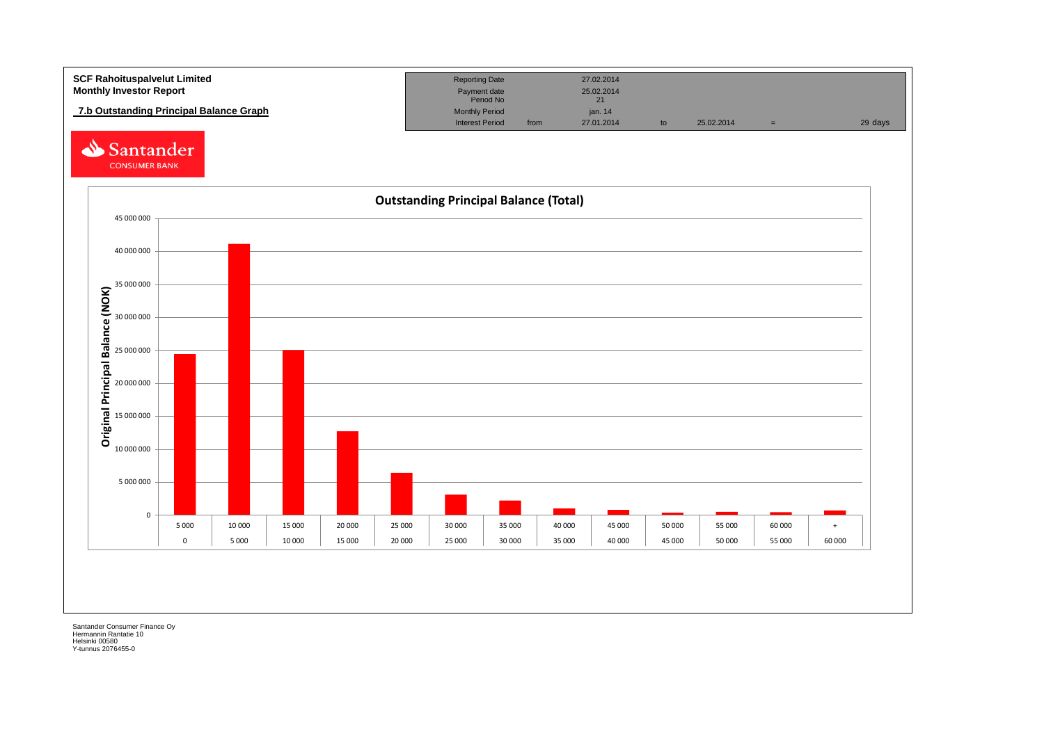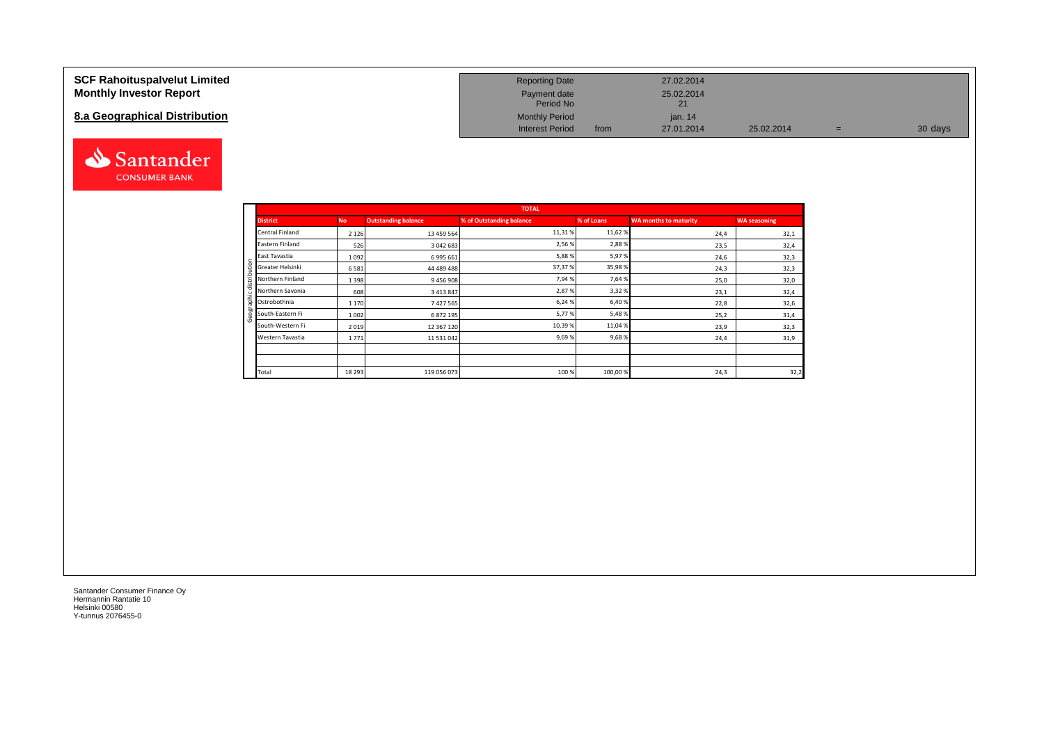#### **SCF Rahoituspalvelut Limited Monthly Investor Report**

### **8.a Geographical Distribution**



| <b>Reporting Date</b>     |      | 27.02.2014       |            |   |         |
|---------------------------|------|------------------|------------|---|---------|
| Payment date<br>Period No |      | 25.02.2014<br>21 |            |   |         |
| <b>Monthly Period</b>     |      | jan. $14$        |            |   |         |
| <b>Interest Period</b>    | from | 27.01.2014       | 25.02.2014 | = | 30 days |

|     |                  |           |                            | <b>TOTAL</b>             |            |                              |                     |
|-----|------------------|-----------|----------------------------|--------------------------|------------|------------------------------|---------------------|
|     | <b>District</b>  | <b>No</b> | <b>Outstanding balance</b> | % of Outstanding balance | % of Loans | <b>WA months to maturity</b> | <b>WA seasoning</b> |
|     | Central Finland  | 2 1 2 6   | 13 459 564                 | 11,31%                   | 11,62%     | 24,4                         | 32,1                |
|     | Eastern Finland  | 526       | 3 042 683                  | 2,56%                    | 2,88%      | 23,5                         | 32,4                |
|     | East Tavastia    | 1092      | 6 995 661                  | 5,88%                    | 5,97%      | 24,6                         | 32,3                |
| ₽   | Greater Helsinki | 6581      | 44 489 488                 | 37,37%                   | 35,98%     | 24,3                         | 32,3                |
| 욬   | Northern Finland | 1 3 9 8   | 9456908                    | 7,94%                    | 7,64 %     | 25,0                         | 32,0                |
| ₹   | Northern Savonia | 608       | 3 4 1 3 8 4 7              | 2,87%                    | 3,32 %     | 23,1                         | 32,4                |
| nge | Ostrobothnia     | 1 1 7 0   | 7427565                    | 6,24%                    | 6,40%      | 22,8                         | 32,6                |
|     | South-Eastern Fi | 1 0 0 2   | 6 872 195                  | 5,77%                    | 5,48%      | 25,2                         | 31,4                |
|     | South-Western Fi | 2019      | 12 367 120                 | 10,39%                   | 11,04%     | 23,9                         | 32,3                |
|     | Western Tavastia | 1771      | 11 531 042                 | 9,69%                    | 9,68%      | 24,4                         | 31,9                |
|     |                  |           |                            |                          |            |                              |                     |
|     |                  |           |                            |                          |            |                              |                     |
|     | Total            | 18 29 3   | 119 056 073                | 100%                     | 100,00%    | 24,3                         | 32,2                |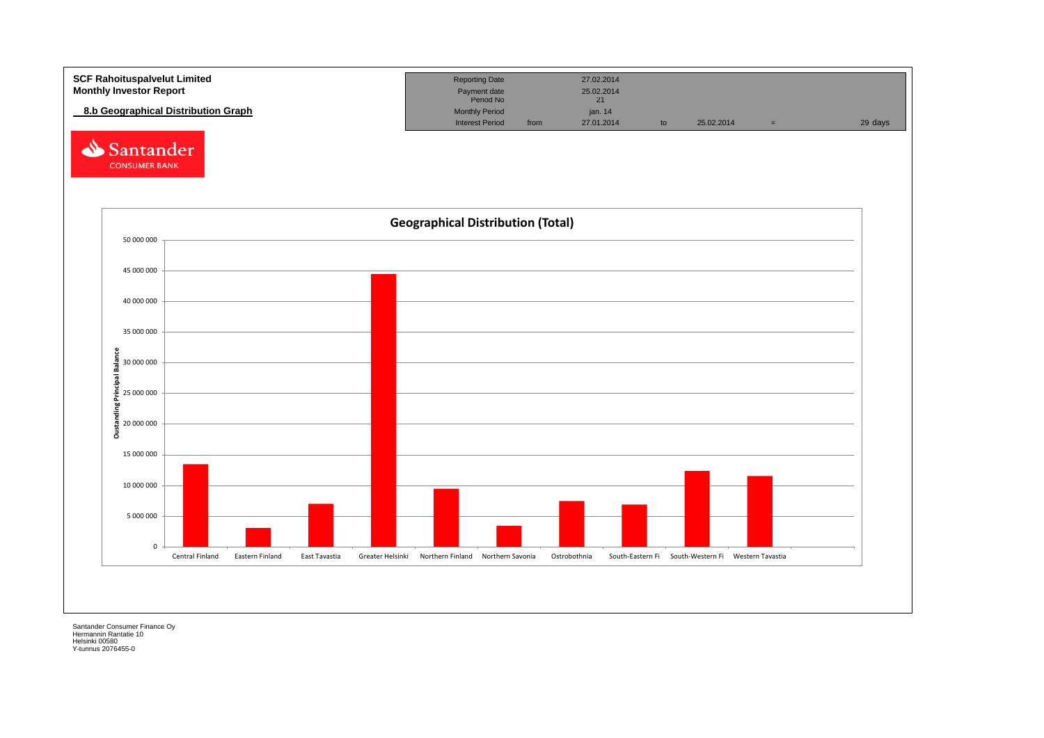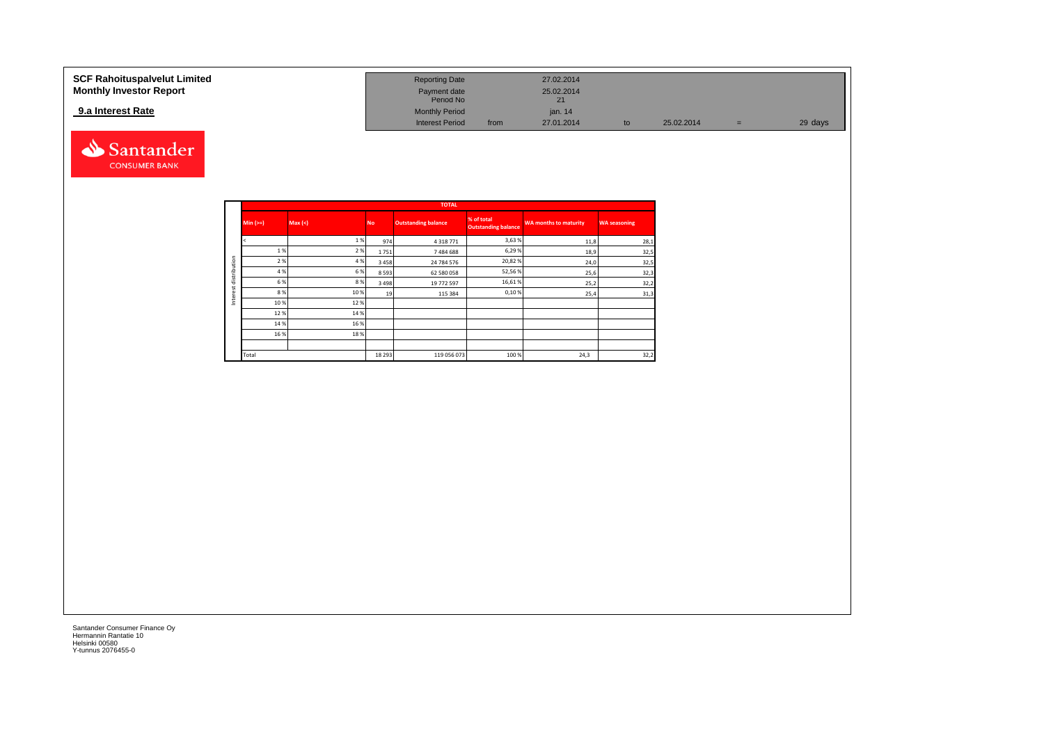#### **SCF Rahoituspalvelut Limited Reporting Date 27.02.2014 Reporting Date 27.02.2014 Monthly Investor Report Payment date 25.02.2014 Payment date 25.02.2014** Payment date<br>Period No 21<br>21 **9.a Interest Rate 19.4 Interest Rate 19.4 Interest Rate 19.4 Interest Rate 19.4 Interest Period 19.4 Interest Period 19.4 Interest Period 19.4 Interest Period 10.1 Interest Period 10.1 Interest Period** Interest Period from 27.01.2014 to 25.02.2014 = 29 days

![](_page_13_Picture_1.jpeg)

|              |            |         |           | <b>TOTAL</b>               |                                          |                       |                     |
|--------------|------------|---------|-----------|----------------------------|------------------------------------------|-----------------------|---------------------|
|              | Min $(>=)$ | Max (<) | <b>No</b> | <b>Outstanding balance</b> | % of total<br><b>Outstanding balance</b> | WA months to maturity | <b>WA seasoning</b> |
|              |            | 1%      | 974       | 4 3 1 8 7 7 1              | 3,63%                                    | 11,8                  | 28,1                |
|              | 1%         | 2 %     | 1751      | 7484688                    | 6,29%                                    | 18,9                  | 32,5                |
| distribution | 2 %        | 4 %     | 3 4 5 8   | 24 784 576                 | 20,82%                                   | 24,0                  | 32,5                |
|              | 4 %        | 6 %     | 8593      | 62 580 058                 | 52,56%                                   | 25,6                  | 32,3                |
|              | 6 %        | 8%      | 3 4 9 8   | 19 772 597                 | 16,61%                                   | 25,2                  | 32,2                |
| est          | 8%         | 10%     | 19        | 115 384                    | 0,10%                                    | 25,4                  | 31,3                |
| Inter        | 10%        | 12%     |           |                            |                                          |                       |                     |
|              | 12%        | 14 %    |           |                            |                                          |                       |                     |
|              | 14 %       | 16%     |           |                            |                                          |                       |                     |
|              | 16%        | 18%     |           |                            |                                          |                       |                     |
|              |            |         |           |                            |                                          |                       |                     |
|              | Total      |         | 18 29 3   | 119 056 073                | 100 %                                    | 24,3                  | 32,2                |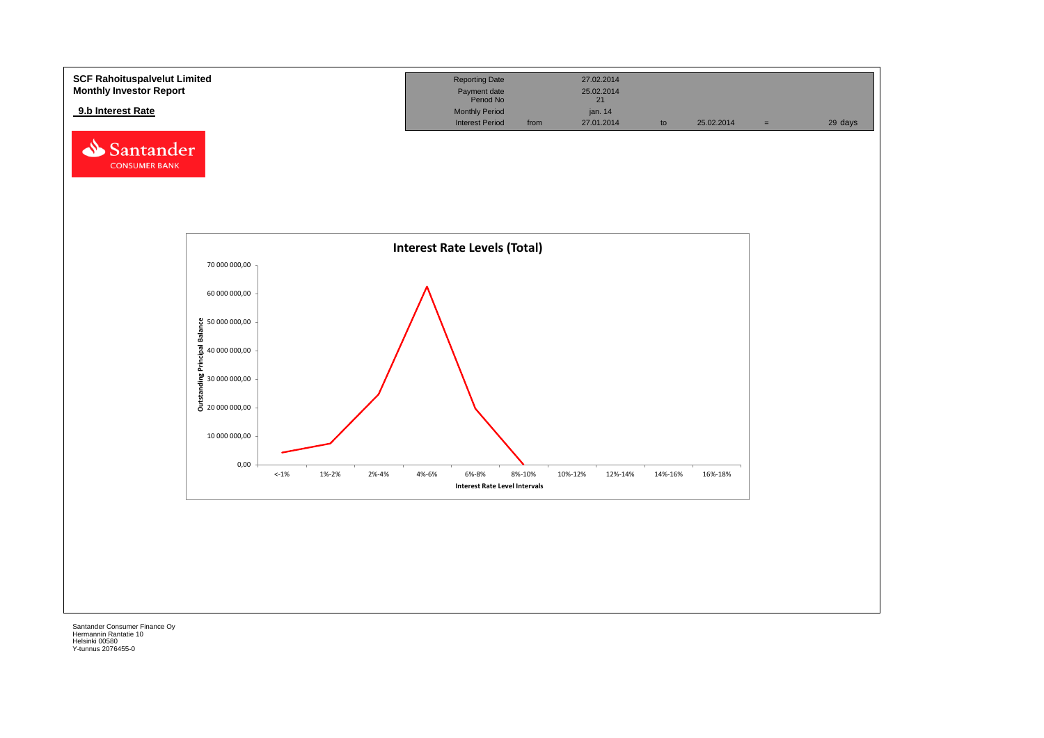![](_page_14_Figure_0.jpeg)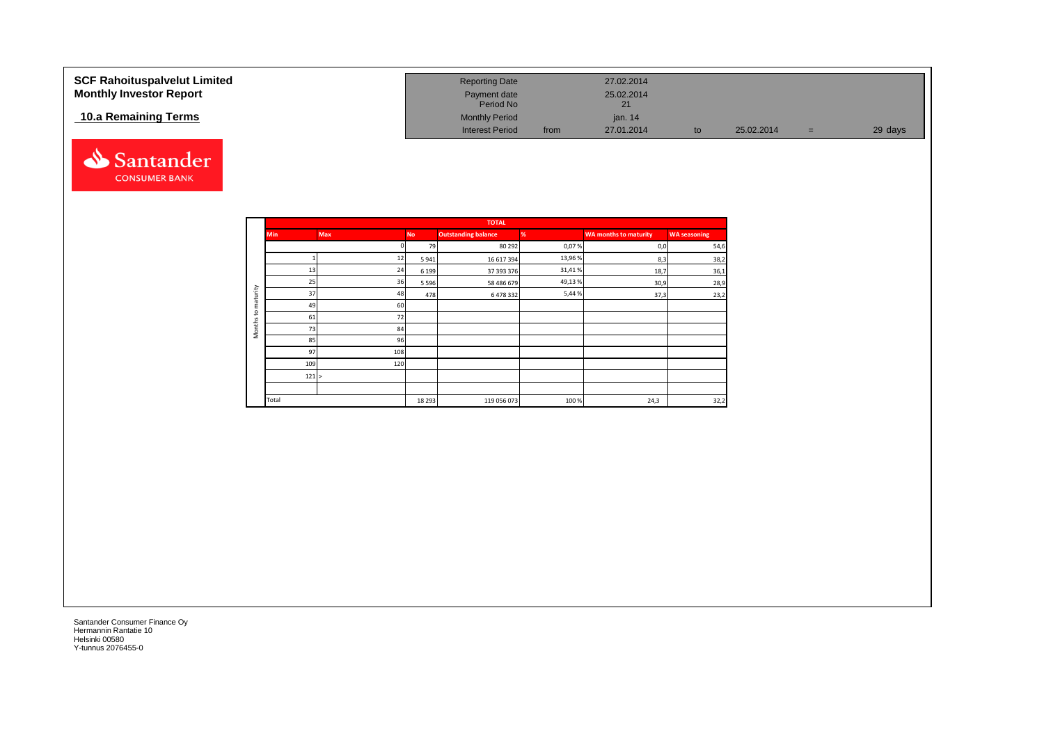| <b>SCF Rahoituspalvelut Limited</b> | <b>Reporting Date</b>     |      | 27.02.2014       |    |            |     |         |
|-------------------------------------|---------------------------|------|------------------|----|------------|-----|---------|
| <b>Monthly Investor Report</b>      | Payment date<br>Period No |      | 25.02.2014<br>21 |    |            |     |         |
| 10.a Remaining Terms                | <b>Monthly Period</b>     |      | ian. 14          |    |            |     |         |
|                                     | <b>Interest Period</b>    | from | 27.01.2014       | to | 25.02.2014 | $=$ | 29 days |

![](_page_15_Picture_1.jpeg)

|                                     |            |            |           | <b>TOTAL</b>               |        |                              |                     |
|-------------------------------------|------------|------------|-----------|----------------------------|--------|------------------------------|---------------------|
|                                     | <b>Min</b> | <b>Max</b> | <b>No</b> | <b>Outstanding balance</b> | %      | <b>WA months to maturity</b> | <b>WA seasoning</b> |
|                                     |            |            | 79        | 80 29 2                    | 0,07%  | 0,0                          | 54,6                |
|                                     |            | 12         | 5941      | 16 617 394                 | 13,96% | 8,3                          | 38,2                |
|                                     | 13         | 24         | 6 1 9 9   | 37 393 376                 | 31,41% | 18,7                         | 36,1                |
|                                     | 25         | 36         | 5 5 9 6   | 58 486 679                 | 49,13% | 30,9                         | 28,9                |
| maturity                            | 37         | 48         | 478       | 6478332                    | 5,44%  | 37,3                         | 23,2                |
|                                     | 49         | 60         |           |                            |        |                              |                     |
| $\mathbf{c}$<br>Months <sup>-</sup> | 61         | 72         |           |                            |        |                              |                     |
|                                     | 73         | 84         |           |                            |        |                              |                     |
|                                     | 85         | 96         |           |                            |        |                              |                     |
|                                     | 97         | 108        |           |                            |        |                              |                     |
|                                     | 109        | 120        |           |                            |        |                              |                     |
|                                     | 121 >      |            |           |                            |        |                              |                     |
|                                     |            |            |           |                            |        |                              |                     |
|                                     | Total      |            | 18 2 9 3  | 119 056 073                | 100%   | 24,3                         | 32,2                |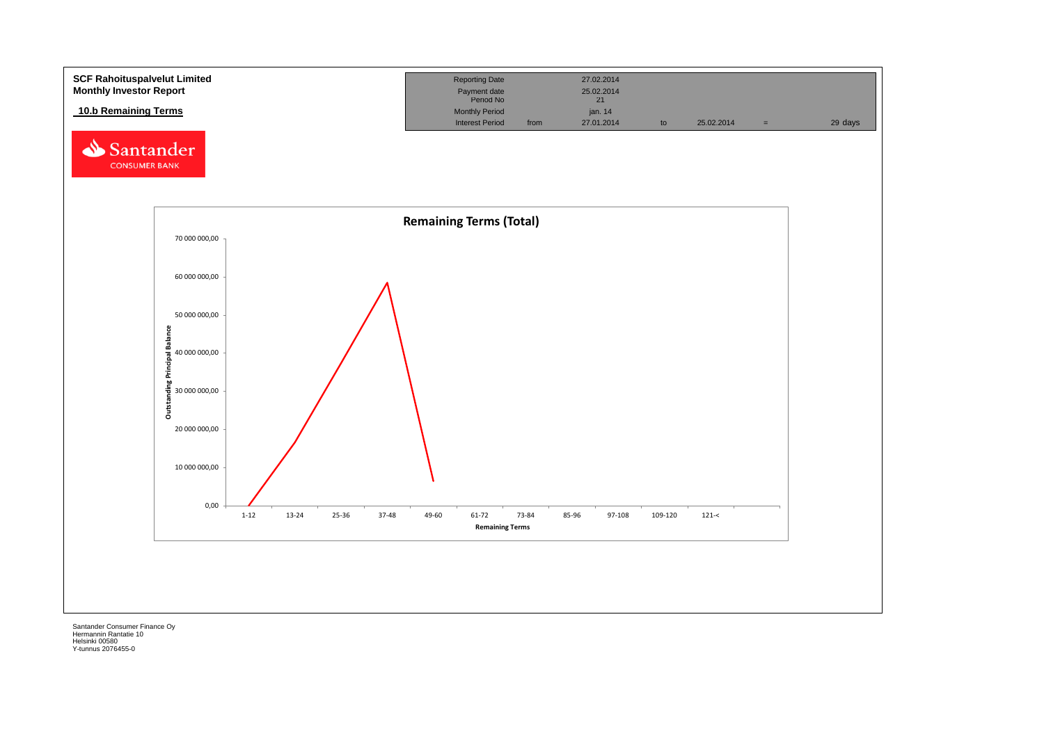![](_page_16_Figure_0.jpeg)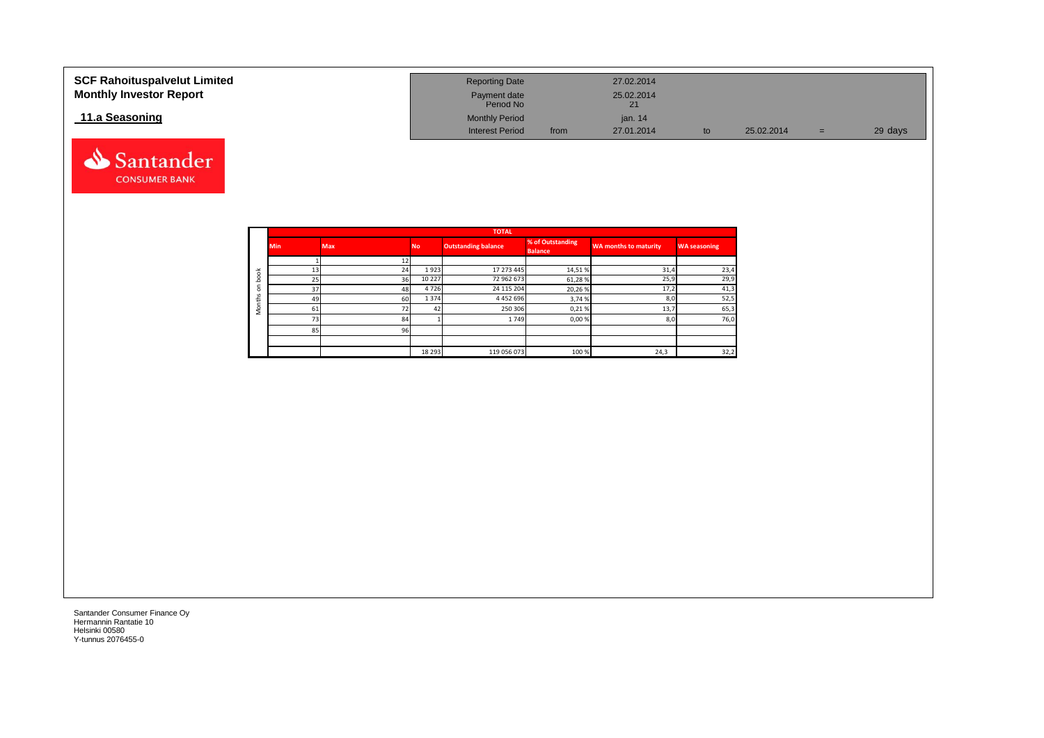| <b>SCF Rahoituspalvelut Limited</b><br><b>Monthly Investor Report</b> | <b>Reporting Date</b><br>Payment date<br>Period No |      | 27.02.2014<br>25.02.2014 |    |            |     |         |
|-----------------------------------------------------------------------|----------------------------------------------------|------|--------------------------|----|------------|-----|---------|
| 11.a Seasoning                                                        | <b>Monthly Period</b>                              |      | jan. $14$                |    |            |     |         |
|                                                                       | <b>Interest Period</b>                             | from | 27.01.2014               | to | 25.02.2014 | $=$ | 29 days |

![](_page_17_Picture_1.jpeg)

Santander **CONSUMER BANK**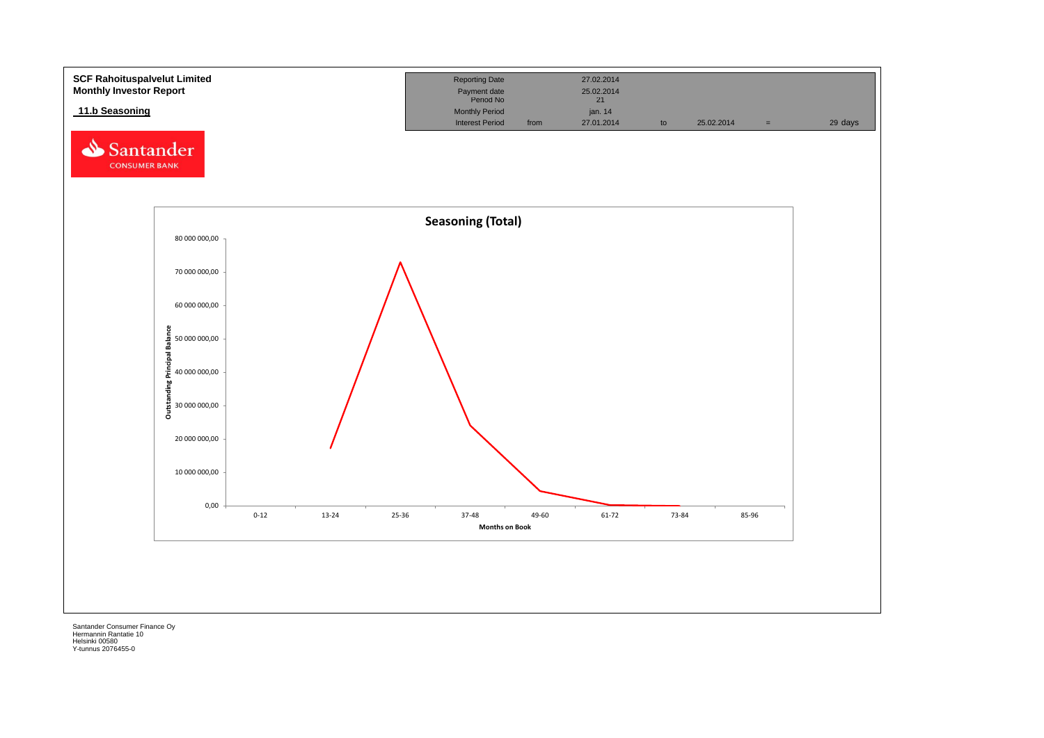![](_page_18_Figure_0.jpeg)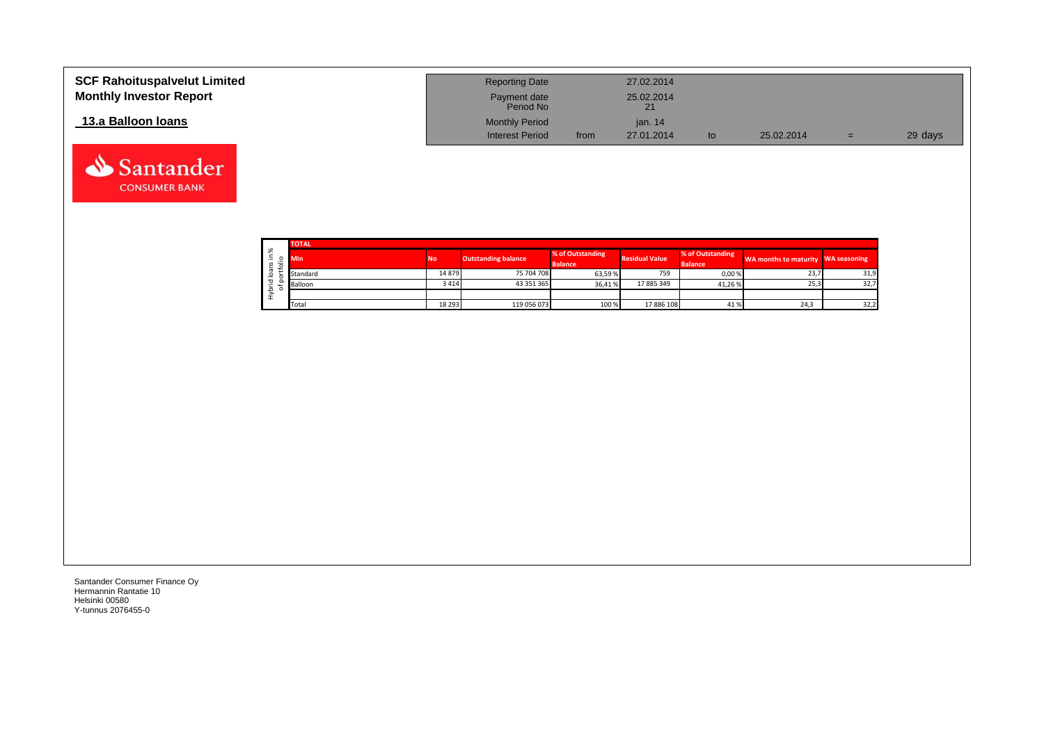| <b>SCF Rahoituspalvelut Limited</b><br><b>Monthly Investor Report</b> | <b>Reporting Date</b><br>Payment date<br>Period No |      | 27.02.2014<br>25.02.2014<br>21 |     |            |     |         |
|-----------------------------------------------------------------------|----------------------------------------------------|------|--------------------------------|-----|------------|-----|---------|
| 13.a Balloon Ioans                                                    | <b>Monthly Period</b><br><b>Interest Period</b>    | from | ian, 14<br>27.01.2014          | to. | 25.02.2014 | $=$ | 29 days |

|    | <b>TOTAL</b> |                 |                            |                                    |                       |                                    |                                    |      |
|----|--------------|-----------------|----------------------------|------------------------------------|-----------------------|------------------------------------|------------------------------------|------|
| వి | <b>Min</b>   | No <sup>1</sup> | <b>Outstanding balance</b> | % of Outstanding<br><b>Balance</b> | <b>Residual Value</b> | % of Outstanding<br><b>Balance</b> | WA months to maturity WA seasoning |      |
|    | Standard     | 14879           | 75 704 708                 | 63,59 %                            | 759                   | 0,00%                              | 23,7                               | 31,9 |
|    | Balloon      | 3414            | 43 351 365                 | 36.41%                             | 17 885 349            | 41.26 %                            | 25,3                               | 32,7 |
|    |              |                 |                            |                                    |                       |                                    |                                    |      |
|    | Total        | 18 29 3         | 119 056 073                | 100 %                              | 17 886 108            | 41%                                | 24,3                               | 32,2 |

Santander **CONSUMER BANK**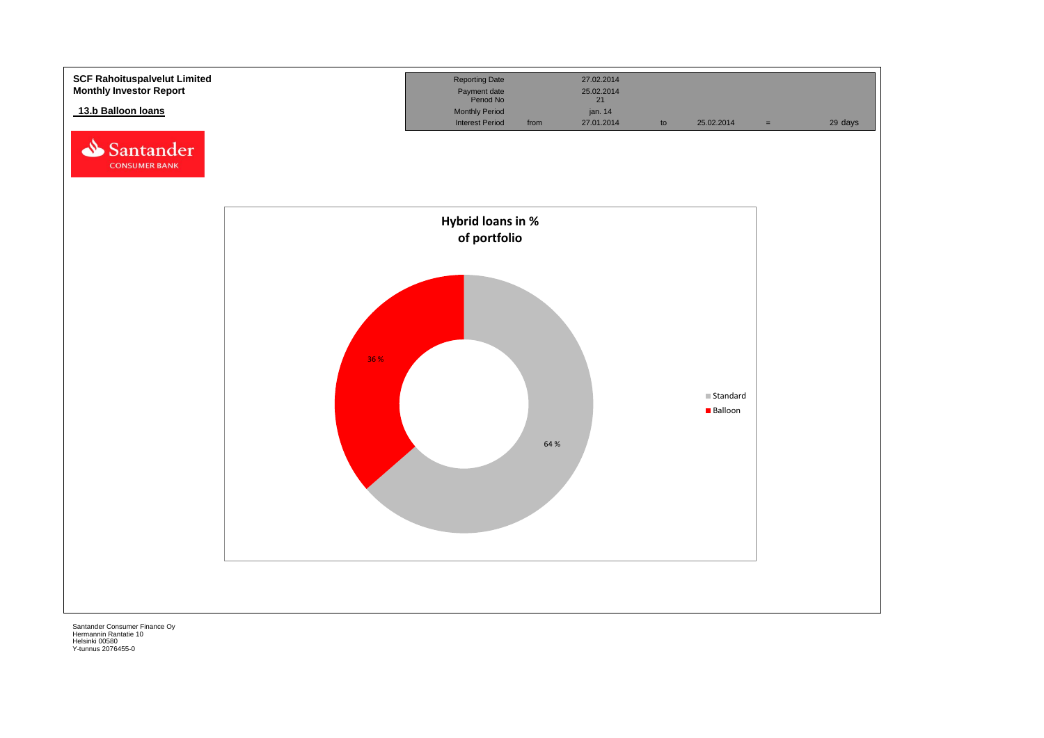![](_page_20_Figure_0.jpeg)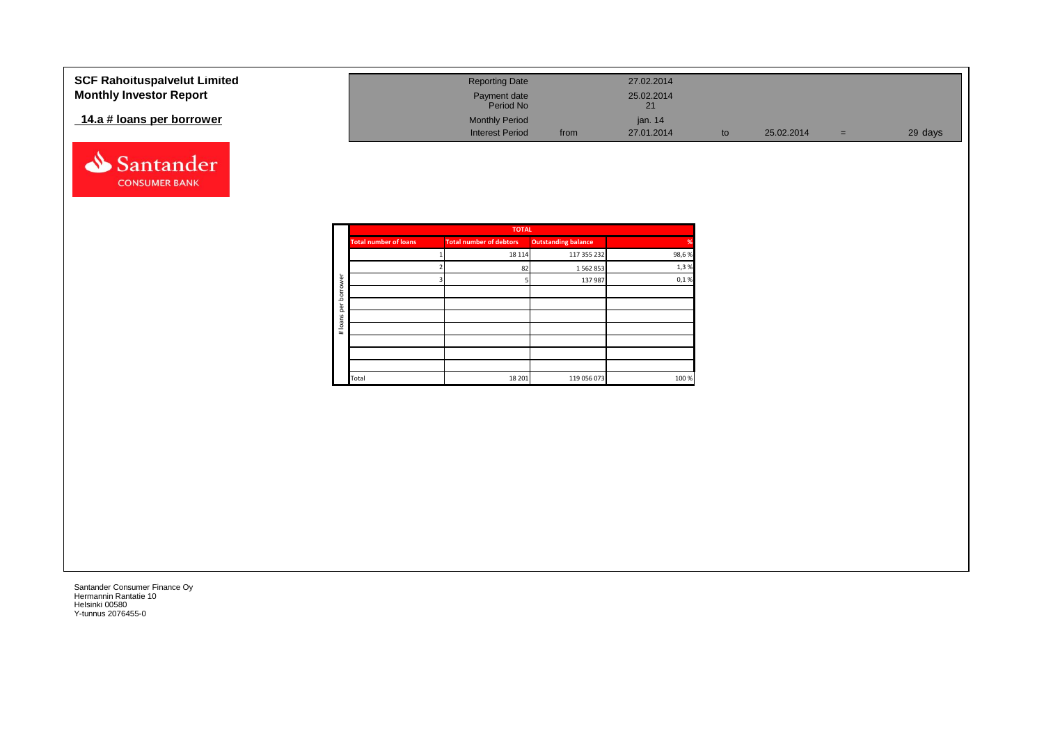| <b>SCF Rahoituspalvelut Limited</b><br><b>Monthly Investor Report</b> | <b>Reporting Date</b><br>Payment date<br>Period No |      | 27.02.2014<br>25.02.2014<br>21 |            |     |         |
|-----------------------------------------------------------------------|----------------------------------------------------|------|--------------------------------|------------|-----|---------|
| 14.a # loans per borrower                                             | <b>Monthly Period</b><br><b>Interest Period</b>    | from | jan. 14<br>27.01.2014          | 25.02.2014 | $=$ | 29 days |

![](_page_21_Picture_1.jpeg)

|             |                              | <b>TOTAL</b>                   |                            |       |
|-------------|------------------------------|--------------------------------|----------------------------|-------|
|             | <b>Total number of loans</b> | <b>Total number of debtors</b> | <b>Outstanding balance</b> | %     |
|             |                              | 18 114                         | 117 355 232                | 98,6% |
|             |                              | 82                             | 1562853                    | 1,3%  |
| ৯           |                              |                                | 137 987                    | 0,1%  |
| row<br>bori |                              |                                |                            |       |
| per         |                              |                                |                            |       |
|             |                              |                                |                            |       |
| # loans     |                              |                                |                            |       |
|             |                              |                                |                            |       |
|             |                              |                                |                            |       |
|             |                              |                                |                            |       |
|             | Total                        | 18 20 1                        | 119 056 073                | 100 % |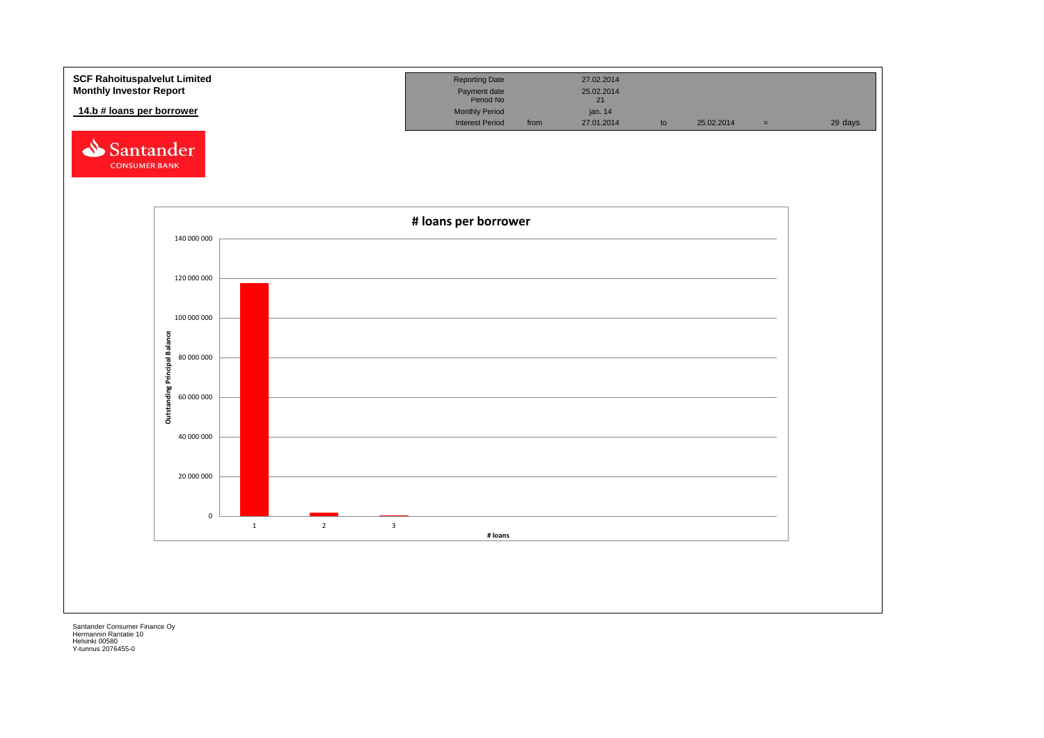![](_page_22_Figure_0.jpeg)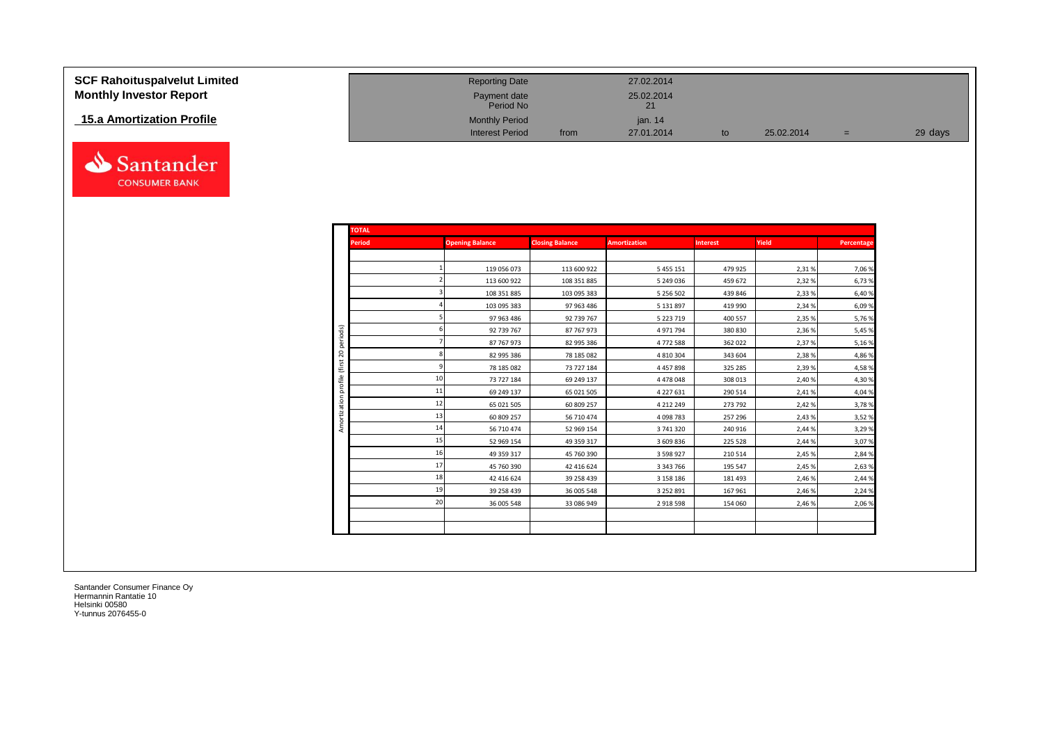| <b>SCF Rahoituspalvelut Limited</b> |
|-------------------------------------|
| <b>Monthly Investor Report</b>      |

## **15.a Amortization Profile**

![](_page_23_Picture_2.jpeg)

| <b>SCF Rahoituspalvelut Limited</b> | <b>Reporting Date</b>     |      | 27.02.2014 |            |   |         |
|-------------------------------------|---------------------------|------|------------|------------|---|---------|
| <b>Monthly Investor Report</b>      | Payment date<br>Period No |      | 25.02.2014 |            |   |         |
| 15.a Amortization Profile           | <b>Monthly Period</b>     |      | ian. 14    |            |   |         |
|                                     | <b>Interest Period</b>    | from | 27.01.2014 | 25.02.2014 | = | 29 days |

| <b>TOTAL</b>  |    |                        |                        |                     |                 |        |            |
|---------------|----|------------------------|------------------------|---------------------|-----------------|--------|------------|
| <b>Period</b> |    | <b>Opening Balance</b> | <b>Closing Balance</b> | <b>Amortization</b> | <b>Interest</b> | Yield  | Percentage |
|               |    |                        |                        |                     |                 |        |            |
|               |    | 119 056 073            | 113 600 922            | 5 4 5 5 1 5 1       | 479 925         | 2,31%  | 7,06 %     |
|               |    | 113 600 922            | 108 351 885            | 5 249 036           | 459 672         | 2,32 % | 6,73 %     |
|               |    | 108 351 885            | 103 095 383            | 5 256 502           | 439 846         | 2,33 % | 6,40%      |
|               |    | 103 095 383            | 97 963 486             | 5 131 897           | 419 990         | 2,34 % | 6,09%      |
|               |    | 97 963 486             | 92 739 767             | 5 223 719           | 400 557         | 2,35 % | 5,76 %     |
|               |    | 92 739 767             | 87 767 973             | 4971794             | 380 830         | 2,36 % | 5,45 %     |
|               |    | 87 767 973             | 82 995 386             | 4772588             | 362 022         | 2,37%  | 5,16%      |
|               |    | 82 995 386             | 78 185 082             | 4 8 10 3 04         | 343 604         | 2,38%  | 4,86 %     |
|               |    | 78 185 082             | 73 727 184             | 4 4 5 7 8 9 8       | 325 285         | 2,39%  | 4,58%      |
|               | 10 | 73 727 184             | 69 249 137             | 4 4 7 8 0 4 8       | 308 013         | 2,40 % | 4,30 %     |
|               | 11 | 69 249 137             | 65 021 505             | 4 2 2 7 6 3 1       | 290 514         | 2,41%  | 4,04 %     |
|               | 12 | 65 021 505             | 60 809 257             | 4 212 249           | 273 792         | 2,42%  | 3,78%      |
|               | 13 | 60 809 257             | 56 710 474             | 4 098 783           | 257 296         | 2,43%  | 3,52 %     |
|               | 14 | 56 710 474             | 52 969 154             | 3 741 320           | 240 916         | 2,44 % | 3,29 %     |
|               | 15 | 52 969 154             | 49 359 317             | 3 609 836           | 225 528         | 2,44 % | 3,07%      |
|               | 16 | 49 359 317             | 45 760 390             | 3 5 9 8 9 2 7       | 210 514         | 2,45 % | 2,84 %     |
|               | 17 | 45 760 390             | 42 416 624             | 3 343 766           | 195 547         | 2,45 % | 2,63 %     |
|               | 18 | 42 416 624             | 39 258 439             | 3 158 186           | 181 493         | 2,46 % | 2,44 %     |
|               | 19 | 39 258 439             | 36 005 548             | 3 252 891           | 167 961         | 2,46 % | 2,24 %     |
|               | 20 | 36 005 548             | 33 086 949             | 2918598             | 154 060         | 2,46 % | 2,06 %     |
|               |    |                        |                        |                     |                 |        |            |
|               |    |                        |                        |                     |                 |        |            |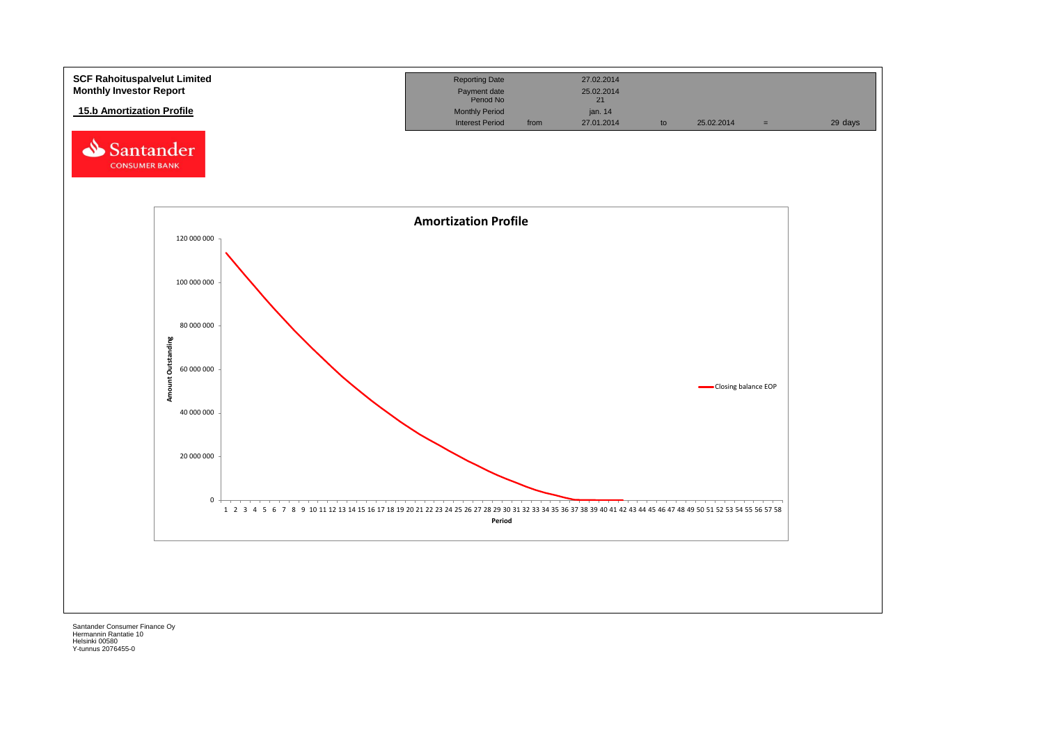![](_page_24_Figure_0.jpeg)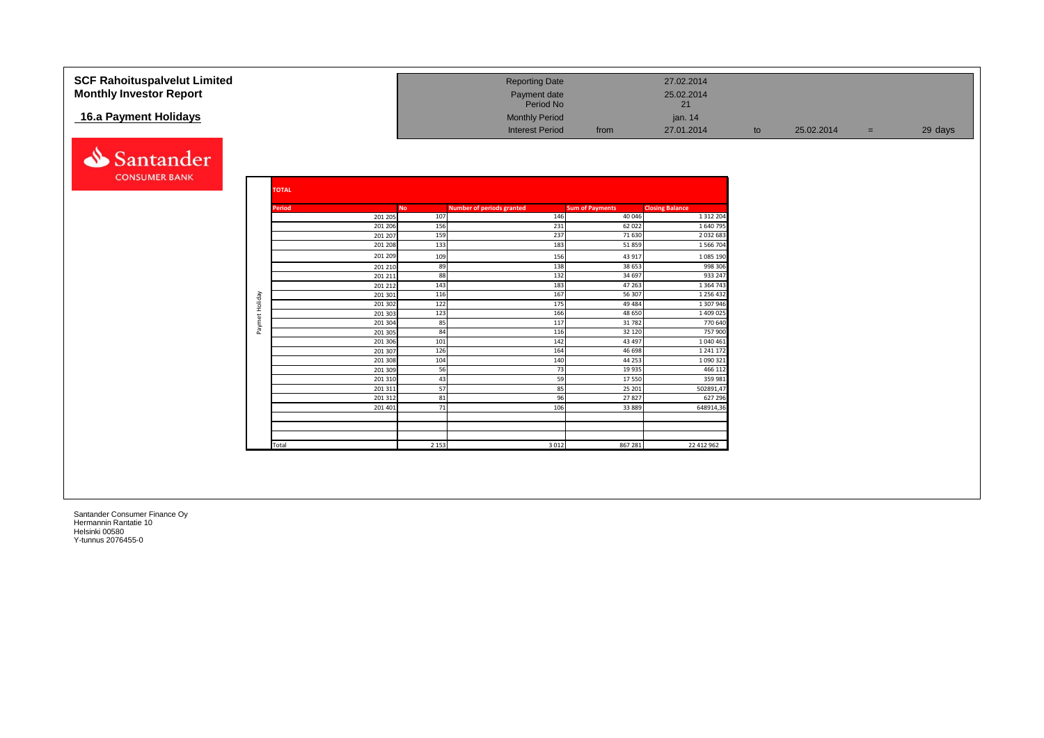| <b>SCF Rahoituspalvelut Limited</b> |                |                    |            | <b>Reporting Date</b>            |                        | 27.02.2014             |    |            |     |         |
|-------------------------------------|----------------|--------------------|------------|----------------------------------|------------------------|------------------------|----|------------|-----|---------|
| <b>Monthly Investor Report</b>      |                |                    |            | Payment date<br>Period No        |                        | 25.02.2014<br>21       |    |            |     |         |
| 16.a Payment Holidays               |                |                    |            | <b>Monthly Period</b>            |                        | jan. 14                |    |            |     |         |
|                                     |                |                    |            | <b>Interest Period</b>           | from                   | 27.01.2014             | to | 25.02.2014 | $=$ | 29 days |
|                                     |                |                    |            |                                  |                        |                        |    |            |     |         |
|                                     |                |                    |            |                                  |                        |                        |    |            |     |         |
| Santander                           |                |                    |            |                                  |                        |                        |    |            |     |         |
| <b>CONSUMER BANK</b>                |                |                    |            |                                  |                        |                        |    |            |     |         |
|                                     |                | <b>TOTAL</b>       |            |                                  |                        |                        |    |            |     |         |
|                                     |                |                    |            |                                  |                        |                        |    |            |     |         |
|                                     |                | Period             | <b>No</b>  | <b>Number of periods granted</b> | <b>Sum of Payments</b> | <b>Closing Balance</b> |    |            |     |         |
|                                     |                | 201 205            | 107        | 146                              | 40 046                 | 1 3 1 2 2 0 4          |    |            |     |         |
|                                     |                | 201 206            | 156<br>159 | 231<br>237                       | 62 022<br>71 630       | 1640795<br>2032683     |    |            |     |         |
|                                     |                | 201 207<br>201 208 | 133        | 183                              | 51859                  | 1 566 704              |    |            |     |         |
|                                     |                | 201 209            |            | 156                              |                        |                        |    |            |     |         |
|                                     |                | 201 210            | 109<br>89  | 138                              | 43 917<br>38 653       | 1 085 190<br>998 306   |    |            |     |         |
|                                     |                | 201 211            | 88         | 132                              | 34 697                 | 933 247                |    |            |     |         |
|                                     |                | 201 212            | 143        | 183                              | 47 263                 | 1 3 6 4 7 4 3          |    |            |     |         |
|                                     |                | 201 301            | 116        | 167                              | 56 307                 | 1 256 432              |    |            |     |         |
|                                     | Paymet Holiday | 201 302            | 122        | 175                              | 49 4 84                | 1 307 946              |    |            |     |         |
|                                     |                | 201 303            | 123        | 166                              | 48 650                 | 1 409 025              |    |            |     |         |
|                                     |                | 201 304            | 85         | 117                              | 31782                  | 770 640                |    |            |     |         |
|                                     |                | 201 305            | 84         | 116                              | 32 120                 | 757 900                |    |            |     |         |
|                                     |                | 201 306            | 101        | 142                              | 43 497                 | 1 040 461              |    |            |     |         |
|                                     |                | 201 307<br>201 308 | 126<br>104 | 164<br>140                       | 46 698<br>44 253       | 1 241 172<br>1090321   |    |            |     |         |
|                                     |                | 201 309            | 56         | 73                               | 19 9 35                | 466 112                |    |            |     |         |
|                                     |                | 201 310            | 43         | 59                               | 17550                  | 359 981                |    |            |     |         |
|                                     |                | 201 311            | 57         | 85                               | 25 201                 | 502891,47              |    |            |     |         |
|                                     |                | 201312             | 81         | 96                               | 27827                  | 627 296                |    |            |     |         |
|                                     |                | 201 401            | 71         | 106                              | 33 8 8 9               | 648914,3               |    |            |     |         |
|                                     |                |                    |            |                                  |                        |                        |    |            |     |         |
|                                     |                |                    |            |                                  |                        |                        |    |            |     |         |
|                                     |                | Total              | 2 1 5 3    | 3 0 1 2                          | 867 281                |                        |    |            |     |         |
|                                     |                |                    |            |                                  |                        | 22 412 962             |    |            |     |         |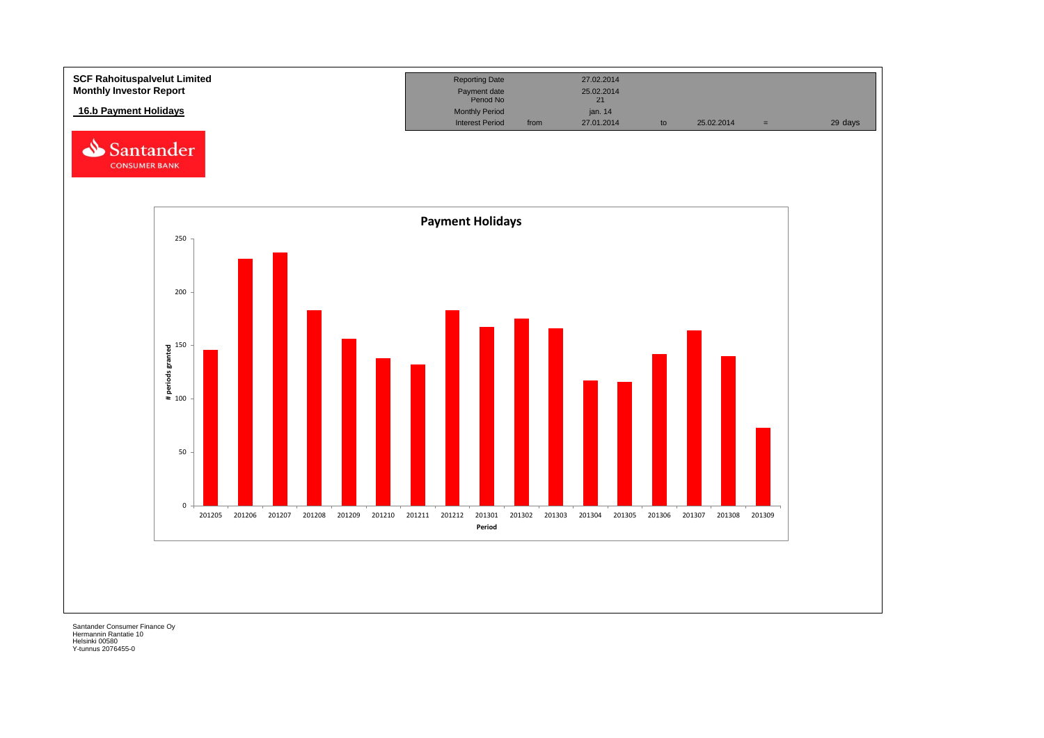![](_page_26_Figure_0.jpeg)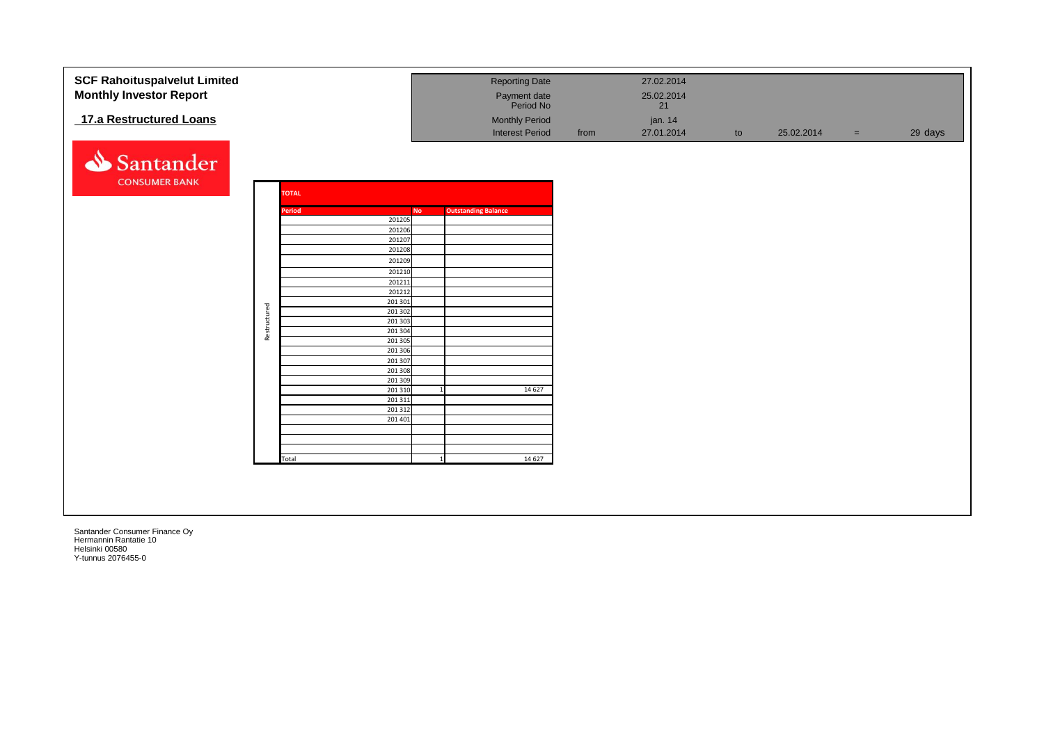| <b>SCF Rahoituspalvelut Limited</b><br><b>Monthly Investor Report</b> |              |                    |           | <b>Reporting Date</b>      |      | 27.02.2014<br>25.02.2014 |    |            |     |         |
|-----------------------------------------------------------------------|--------------|--------------------|-----------|----------------------------|------|--------------------------|----|------------|-----|---------|
|                                                                       |              |                    |           | Payment date<br>Period No  |      | 21                       |    |            |     |         |
| 17.a Restructured Loans                                               |              |                    |           | <b>Monthly Period</b>      |      | jan. 14                  |    |            |     |         |
|                                                                       |              |                    |           | <b>Interest Period</b>     | from | 27.01.2014               | to | 25.02.2014 | $=$ | 29 days |
| Santander                                                             |              |                    |           |                            |      |                          |    |            |     |         |
| <b>CONSUMER BANK</b>                                                  |              | <b>TOTAL</b>       |           |                            |      |                          |    |            |     |         |
|                                                                       |              | Period             | <b>No</b> | <b>Outstanding Balance</b> |      |                          |    |            |     |         |
|                                                                       |              | 201205             |           |                            |      |                          |    |            |     |         |
|                                                                       |              | 201206             |           |                            |      |                          |    |            |     |         |
|                                                                       |              | 201207             |           |                            |      |                          |    |            |     |         |
|                                                                       |              | 201208             |           |                            |      |                          |    |            |     |         |
|                                                                       |              | 201209             |           |                            |      |                          |    |            |     |         |
|                                                                       |              | 201210<br>201211   |           |                            |      |                          |    |            |     |         |
|                                                                       |              | 201212             |           |                            |      |                          |    |            |     |         |
|                                                                       |              | 201 301            |           |                            |      |                          |    |            |     |         |
|                                                                       |              | 201 302            |           |                            |      |                          |    |            |     |         |
|                                                                       |              | 201 303            |           |                            |      |                          |    |            |     |         |
|                                                                       | Restructured | 201 304            |           |                            |      |                          |    |            |     |         |
|                                                                       |              | 201 305            |           |                            |      |                          |    |            |     |         |
|                                                                       |              | 201 306<br>201 307 |           |                            |      |                          |    |            |     |         |
|                                                                       |              | 201 308            |           |                            |      |                          |    |            |     |         |
|                                                                       |              | 201 309            |           |                            |      |                          |    |            |     |         |
|                                                                       |              | 201 310            |           | 14 6 27                    |      |                          |    |            |     |         |
|                                                                       |              | 201 311            |           |                            |      |                          |    |            |     |         |
|                                                                       |              | 201 312            |           |                            |      |                          |    |            |     |         |
|                                                                       |              | 201 401            |           |                            |      |                          |    |            |     |         |
|                                                                       |              |                    |           |                            |      |                          |    |            |     |         |
|                                                                       |              |                    |           |                            |      |                          |    |            |     |         |
|                                                                       |              | Total              |           | 14 6 27<br>$\overline{1}$  |      |                          |    |            |     |         |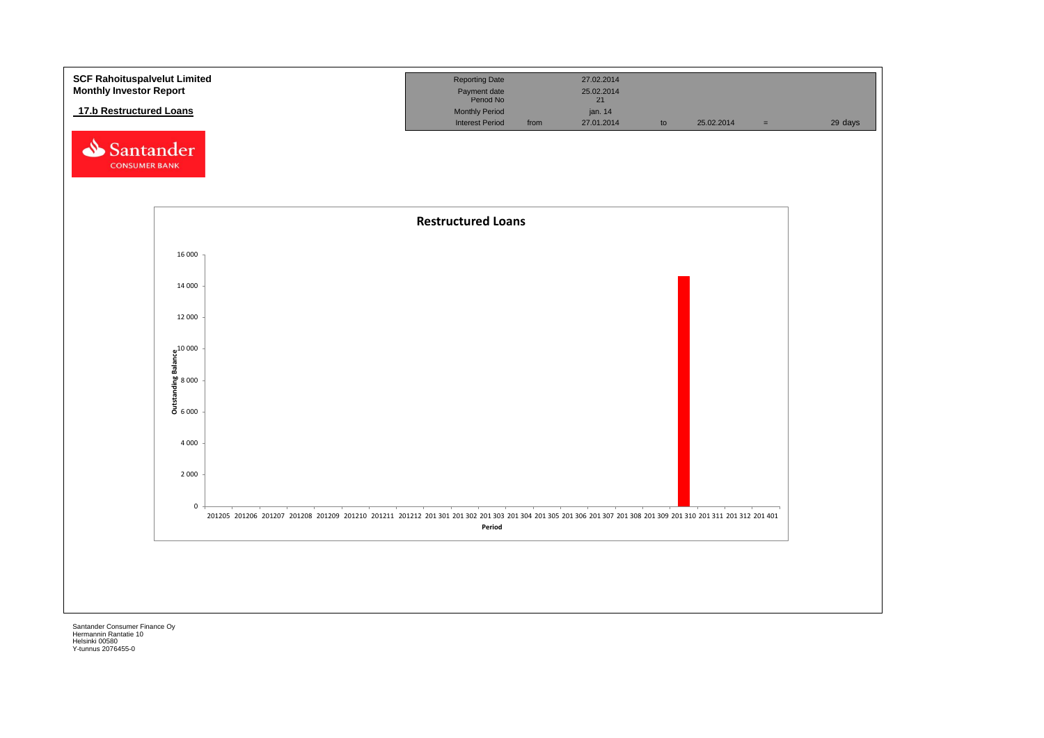![](_page_28_Figure_0.jpeg)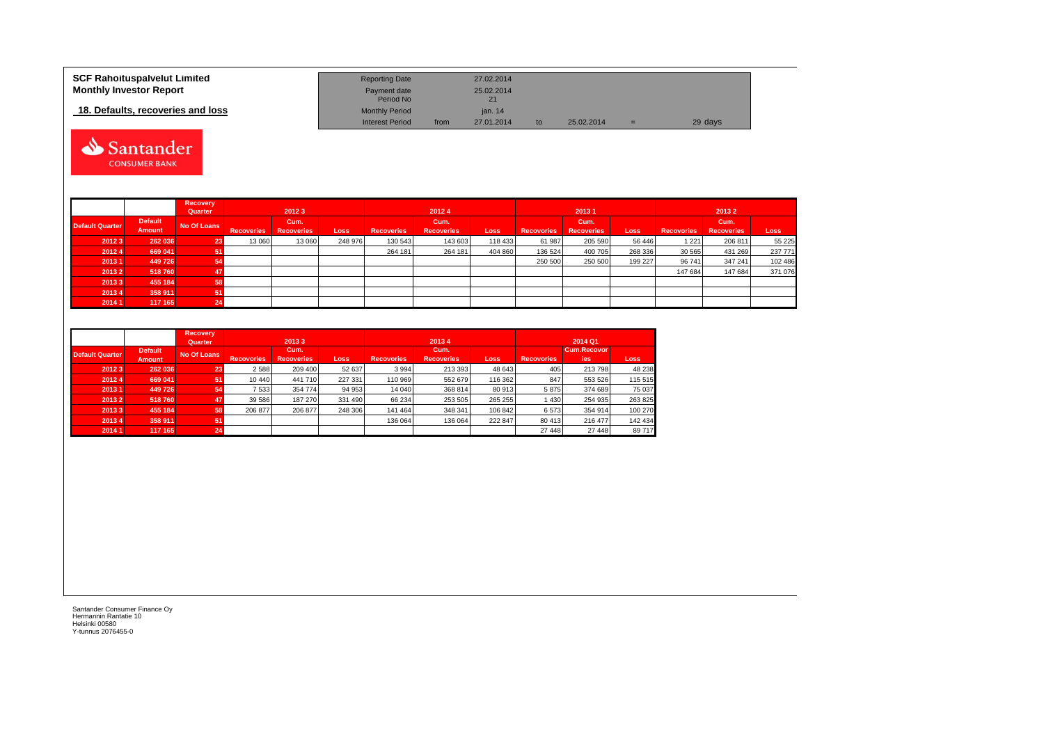| <b>SCF Rahoituspalvelut Limited</b> | <b>Reporting Date</b>     |      | 27.02.2014 |    |            |     |         |
|-------------------------------------|---------------------------|------|------------|----|------------|-----|---------|
| <b>Monthly Investor Report</b>      | Payment date<br>Period No |      | 25.02.2014 |    |            |     |         |
| 18. Defaults, recoveries and loss   | <b>Monthly Period</b>     |      | ian, 14    |    |            |     |         |
|                                     | <b>Interest Period</b>    | from | 27.01.2014 | to | 25.02.2014 | $=$ | 29 days |

![](_page_29_Picture_1.jpeg)

|                        |                | Recovery    |                   |                   |         |                   |                   |             |                   |                   |             |                   |                   |         |
|------------------------|----------------|-------------|-------------------|-------------------|---------|-------------------|-------------------|-------------|-------------------|-------------------|-------------|-------------------|-------------------|---------|
|                        |                | Quarter     |                   | 20123<br>20124    |         |                   | 20131             |             |                   | 20132             |             |                   |                   |         |
| <b>Default Quarter</b> | <b>Default</b> | No Of Loans |                   | Cum.              |         |                   | Cum.              |             |                   | Cum.              |             |                   | Cum.              |         |
|                        | Amount         |             | <b>Recoveries</b> | <b>Recoveries</b> | Loss    | <b>Recoveries</b> | <b>Recoveries</b> | <b>Loss</b> | <b>Recovories</b> | <b>Recoveries</b> | <b>Loss</b> | <b>Recovories</b> | <b>Recoveries</b> | Loss    |
| 20123                  | 262 036        |             | 13 060            | 13 060            | 248 976 | 130 543           | 143 603           | 118 433     | 61 987            | 205 590           | 56 446      | 1221              | 206 811           | 55 225  |
| 20124                  | 669 041        |             |                   |                   |         | 264 181           | 264 181           | 404 860     | 136 524           | 400 705           | 268 336     | 30 565            | 431 269           | 237 771 |
| 20131                  | 449726         |             |                   |                   |         |                   |                   |             | 250 500           | 250 500           | 199 227     | 96 741            | 347 241           | 102 486 |
| 20132                  | 518760         |             |                   |                   |         |                   |                   |             |                   |                   |             | 147 684           | 147 684           | 371 076 |
| 20133                  | 455 184        |             |                   |                   |         |                   |                   |             |                   |                   |             |                   |                   |         |
| 20134                  | 358 911        |             |                   |                   |         |                   |                   |             |                   |                   |             |                   |                   |         |
| 2014 1                 | 117 165        | 24          |                   |                   |         |                   |                   |             |                   |                   |             |                   |                   |         |

|                        |                                 | <b>Recovery</b><br>Quarter |                   | 20133                     |             |                   | 20134                     |         | 2014 Q1           |                           |             |  |
|------------------------|---------------------------------|----------------------------|-------------------|---------------------------|-------------|-------------------|---------------------------|---------|-------------------|---------------------------|-------------|--|
| <b>Default Quarter</b> | <b>Default</b><br><b>Amount</b> | No Of Loans                | <b>Recovories</b> | Cum.<br><b>Recoveries</b> | <b>Loss</b> | <b>Recovories</b> | Cum.<br><b>Recoveries</b> | Loss    | <b>Recovories</b> | <b>Cum.Recovor</b><br>ies | <b>Loss</b> |  |
| 20123                  | 262 036                         | 23                         | 2 5 8 8           | 209 400                   | 52 637      | 3994              | 213 393                   | 48 643  | 405               | 213 798                   | 48 238      |  |
| 20124                  | 669 041                         | 51                         | 10 440            | 441 710                   | 227 331     | 110 969           | 552 679                   | 116 362 | 847               | 553 526                   | 115 515     |  |
| 20131                  | 449 726                         | 54                         | 7 533             | 354 774                   | 94 953      | 14 040            | 368 814                   | 80 913  | 5875              | 374 689                   | 75 037      |  |
| 2013 2                 | 518760                          | 47                         | 39 586            | 187 270                   | 331 490     | 66 234            | 253 505                   | 265 255 | 1430              | 254 935                   | 263 825     |  |
| 20133                  | 455 184                         | 58                         | 206 877           | 206 877                   | 248 306     | 141 464           | 348 341                   | 106 842 | 6573              | 354 914                   | 100 270     |  |
| 20134                  | 358 911                         | 51                         |                   |                           |             | 136 064           | 136 064                   | 222 847 | 80 413            | 216 477                   | 142 434     |  |
| 2014 1                 | 117 165                         | 24                         |                   |                           |             |                   |                           |         | 27 448            | 27 448                    | 89 717      |  |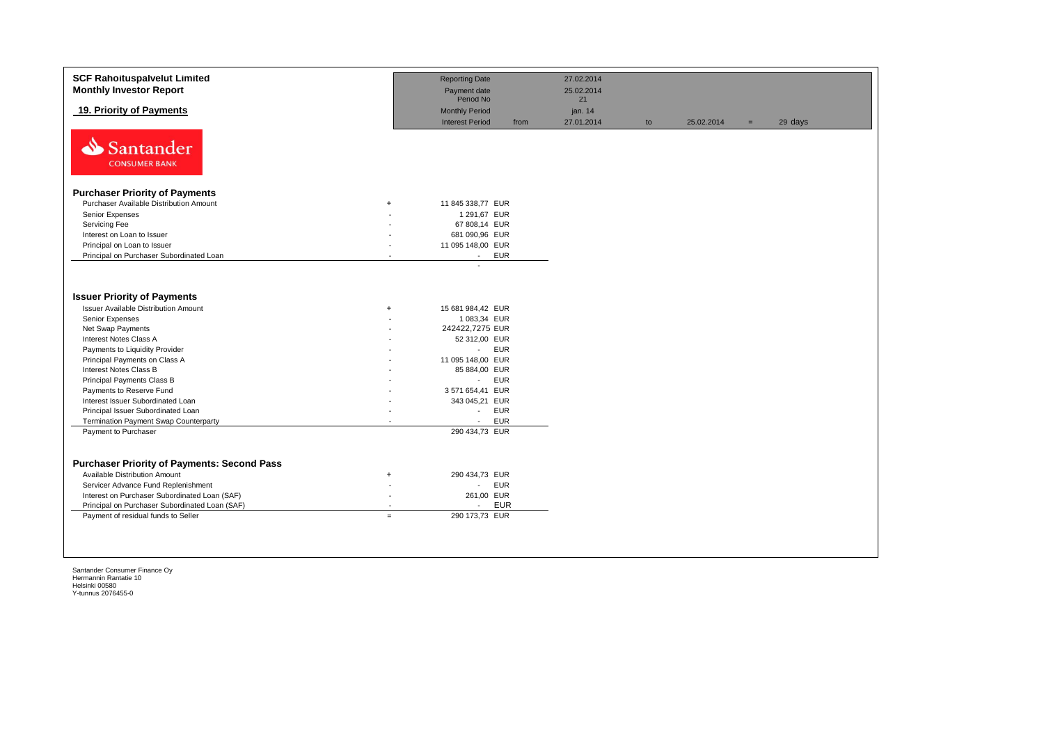| 19. Priority of Payments<br><b>Monthly Period</b><br>jan. 14<br><b>Interest Period</b><br>27.01.2014<br>from<br>25.02.2014<br>29 days<br>to<br>$=$<br>N<br><b>Santander</b><br><b>CONSUMER BANK</b><br><b>Purchaser Priority of Payments</b><br>Purchaser Available Distribution Amount<br>11 845 338,77 EUR<br>$+$<br>Senior Expenses<br>1 291,67 EUR<br>Servicing Fee<br>67 808,14 EUR<br>681 090,96 EUR<br>Interest on Loan to Issuer<br>Principal on Loan to Issuer<br>11 095 148,00 EUR<br>Principal on Purchaser Subordinated Loan<br><b>EUR</b><br>$\sim$<br>$\sim$<br><b>Issuer Priority of Payments</b><br><b>Issuer Available Distribution Amount</b><br>15 681 984,42 EUR<br>$+$<br>Senior Expenses<br>1 083,34 EUR<br>242422,7275 EUR<br>Net Swap Payments<br>Interest Notes Class A<br>52 312,00 EUR<br><b>EUR</b><br>Payments to Liquidity Provider<br>$\mathcal{L}_{\mathcal{A}}$<br>Principal Payments on Class A<br>11 095 148,00 EUR<br><b>Interest Notes Class B</b><br>85 884,00 EUR<br>Principal Payments Class B<br><b>EUR</b><br>$\mathcal{L}_{\mathcal{A}}$<br>Payments to Reserve Fund<br>3 571 654,41 EUR<br>Interest Issuer Subordinated Loan<br>343 045,21 EUR<br>Principal Issuer Subordinated Loan<br><b>EUR</b><br>$\mathcal{L}_{\mathcal{A}}$<br><b>EUR</b><br><b>Termination Payment Swap Counterparty</b><br>$\sim$<br>$\overline{a}$<br>290 434,73 EUR<br>Payment to Purchaser<br><b>Purchaser Priority of Payments: Second Pass</b><br>Available Distribution Amount<br>290 434,73 EUR<br>$+$<br>Servicer Advance Fund Replenishment<br><b>EUR</b><br>$\sim$<br>Interest on Purchaser Subordinated Loan (SAF)<br>261,00 EUR<br>$\overline{\phantom{a}}$ | <b>SCF Rahoituspalvelut Limited</b><br><b>Monthly Investor Report</b> | <b>Reporting Date</b><br>27.02.2014<br>Payment date<br>25.02.2014<br>Period No<br>21 |  |
|---------------------------------------------------------------------------------------------------------------------------------------------------------------------------------------------------------------------------------------------------------------------------------------------------------------------------------------------------------------------------------------------------------------------------------------------------------------------------------------------------------------------------------------------------------------------------------------------------------------------------------------------------------------------------------------------------------------------------------------------------------------------------------------------------------------------------------------------------------------------------------------------------------------------------------------------------------------------------------------------------------------------------------------------------------------------------------------------------------------------------------------------------------------------------------------------------------------------------------------------------------------------------------------------------------------------------------------------------------------------------------------------------------------------------------------------------------------------------------------------------------------------------------------------------------------------------------------------------------------------------------------------------------------------------------------------|-----------------------------------------------------------------------|--------------------------------------------------------------------------------------|--|
|                                                                                                                                                                                                                                                                                                                                                                                                                                                                                                                                                                                                                                                                                                                                                                                                                                                                                                                                                                                                                                                                                                                                                                                                                                                                                                                                                                                                                                                                                                                                                                                                                                                                                             |                                                                       |                                                                                      |  |
|                                                                                                                                                                                                                                                                                                                                                                                                                                                                                                                                                                                                                                                                                                                                                                                                                                                                                                                                                                                                                                                                                                                                                                                                                                                                                                                                                                                                                                                                                                                                                                                                                                                                                             |                                                                       |                                                                                      |  |
|                                                                                                                                                                                                                                                                                                                                                                                                                                                                                                                                                                                                                                                                                                                                                                                                                                                                                                                                                                                                                                                                                                                                                                                                                                                                                                                                                                                                                                                                                                                                                                                                                                                                                             |                                                                       |                                                                                      |  |
|                                                                                                                                                                                                                                                                                                                                                                                                                                                                                                                                                                                                                                                                                                                                                                                                                                                                                                                                                                                                                                                                                                                                                                                                                                                                                                                                                                                                                                                                                                                                                                                                                                                                                             |                                                                       |                                                                                      |  |
|                                                                                                                                                                                                                                                                                                                                                                                                                                                                                                                                                                                                                                                                                                                                                                                                                                                                                                                                                                                                                                                                                                                                                                                                                                                                                                                                                                                                                                                                                                                                                                                                                                                                                             |                                                                       |                                                                                      |  |
|                                                                                                                                                                                                                                                                                                                                                                                                                                                                                                                                                                                                                                                                                                                                                                                                                                                                                                                                                                                                                                                                                                                                                                                                                                                                                                                                                                                                                                                                                                                                                                                                                                                                                             |                                                                       |                                                                                      |  |
|                                                                                                                                                                                                                                                                                                                                                                                                                                                                                                                                                                                                                                                                                                                                                                                                                                                                                                                                                                                                                                                                                                                                                                                                                                                                                                                                                                                                                                                                                                                                                                                                                                                                                             |                                                                       |                                                                                      |  |
|                                                                                                                                                                                                                                                                                                                                                                                                                                                                                                                                                                                                                                                                                                                                                                                                                                                                                                                                                                                                                                                                                                                                                                                                                                                                                                                                                                                                                                                                                                                                                                                                                                                                                             |                                                                       |                                                                                      |  |
|                                                                                                                                                                                                                                                                                                                                                                                                                                                                                                                                                                                                                                                                                                                                                                                                                                                                                                                                                                                                                                                                                                                                                                                                                                                                                                                                                                                                                                                                                                                                                                                                                                                                                             |                                                                       |                                                                                      |  |
|                                                                                                                                                                                                                                                                                                                                                                                                                                                                                                                                                                                                                                                                                                                                                                                                                                                                                                                                                                                                                                                                                                                                                                                                                                                                                                                                                                                                                                                                                                                                                                                                                                                                                             |                                                                       |                                                                                      |  |
|                                                                                                                                                                                                                                                                                                                                                                                                                                                                                                                                                                                                                                                                                                                                                                                                                                                                                                                                                                                                                                                                                                                                                                                                                                                                                                                                                                                                                                                                                                                                                                                                                                                                                             |                                                                       |                                                                                      |  |
|                                                                                                                                                                                                                                                                                                                                                                                                                                                                                                                                                                                                                                                                                                                                                                                                                                                                                                                                                                                                                                                                                                                                                                                                                                                                                                                                                                                                                                                                                                                                                                                                                                                                                             |                                                                       |                                                                                      |  |
|                                                                                                                                                                                                                                                                                                                                                                                                                                                                                                                                                                                                                                                                                                                                                                                                                                                                                                                                                                                                                                                                                                                                                                                                                                                                                                                                                                                                                                                                                                                                                                                                                                                                                             |                                                                       |                                                                                      |  |
|                                                                                                                                                                                                                                                                                                                                                                                                                                                                                                                                                                                                                                                                                                                                                                                                                                                                                                                                                                                                                                                                                                                                                                                                                                                                                                                                                                                                                                                                                                                                                                                                                                                                                             |                                                                       |                                                                                      |  |
|                                                                                                                                                                                                                                                                                                                                                                                                                                                                                                                                                                                                                                                                                                                                                                                                                                                                                                                                                                                                                                                                                                                                                                                                                                                                                                                                                                                                                                                                                                                                                                                                                                                                                             |                                                                       |                                                                                      |  |
|                                                                                                                                                                                                                                                                                                                                                                                                                                                                                                                                                                                                                                                                                                                                                                                                                                                                                                                                                                                                                                                                                                                                                                                                                                                                                                                                                                                                                                                                                                                                                                                                                                                                                             |                                                                       |                                                                                      |  |
| <b>EUR</b><br>Principal on Purchaser Subordinated Loan (SAF)<br>$\sim$<br>$\overline{\phantom{a}}$<br>Payment of residual funds to Seller<br>290 173,73 EUR<br>$\equiv$                                                                                                                                                                                                                                                                                                                                                                                                                                                                                                                                                                                                                                                                                                                                                                                                                                                                                                                                                                                                                                                                                                                                                                                                                                                                                                                                                                                                                                                                                                                     |                                                                       |                                                                                      |  |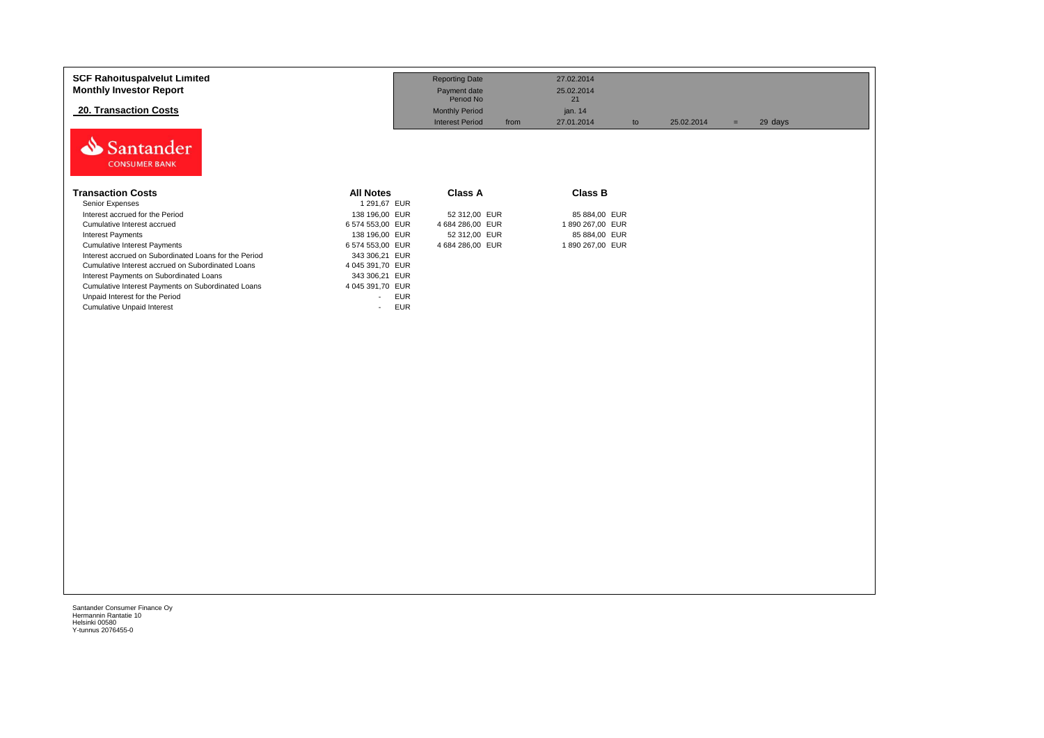| <b>SCF Rahoituspalvelut Limited</b><br><b>Monthly Investor Report</b><br><b>20. Transaction Costs</b><br>Santander<br><b>CONSUMER BANK</b>                                                                                                                                                                                                                                                                                                                             |                                                                                                                                                                                                                                                  | <b>Reporting Date</b><br>Payment date<br>Period No<br><b>Monthly Period</b><br><b>Interest Period</b><br>from | 27.02.2014<br>25.02.2014<br>21<br>jan. 14<br>27.01.2014<br>to                          | 25.02.2014 | 29 days<br>$=$ |  |
|------------------------------------------------------------------------------------------------------------------------------------------------------------------------------------------------------------------------------------------------------------------------------------------------------------------------------------------------------------------------------------------------------------------------------------------------------------------------|--------------------------------------------------------------------------------------------------------------------------------------------------------------------------------------------------------------------------------------------------|---------------------------------------------------------------------------------------------------------------|----------------------------------------------------------------------------------------|------------|----------------|--|
| <b>Transaction Costs</b><br>Senior Expenses<br>Interest accrued for the Period<br>Cumulative Interest accrued<br><b>Interest Payments</b><br><b>Cumulative Interest Payments</b><br>Interest accrued on Subordinated Loans for the Period<br>Cumulative Interest accrued on Subordinated Loans<br>Interest Payments on Subordinated Loans<br>Cumulative Interest Payments on Subordinated Loans<br>Unpaid Interest for the Period<br><b>Cumulative Unpaid Interest</b> | <b>All Notes</b><br>1 291,67 EUR<br>138 196,00 EUR<br>6 574 553,00 EUR<br>138 196,00 EUR<br>6 574 553,00 EUR<br>343 306,21 EUR<br>4 045 391,70 EUR<br>343 306,21 EUR<br>4 045 391,70 EUR<br><b>EUR</b><br>$\overline{\phantom{a}}$<br><b>EUR</b> | Class A<br>52 312,00 EUR<br>4 684 286,00 EUR<br>52 312,00 EUR<br>4 684 286,00 EUR                             | <b>Class B</b><br>85 884,00 EUR<br>1890 267,00 EUR<br>85 884,00 EUR<br>1890 267,00 EUR |            |                |  |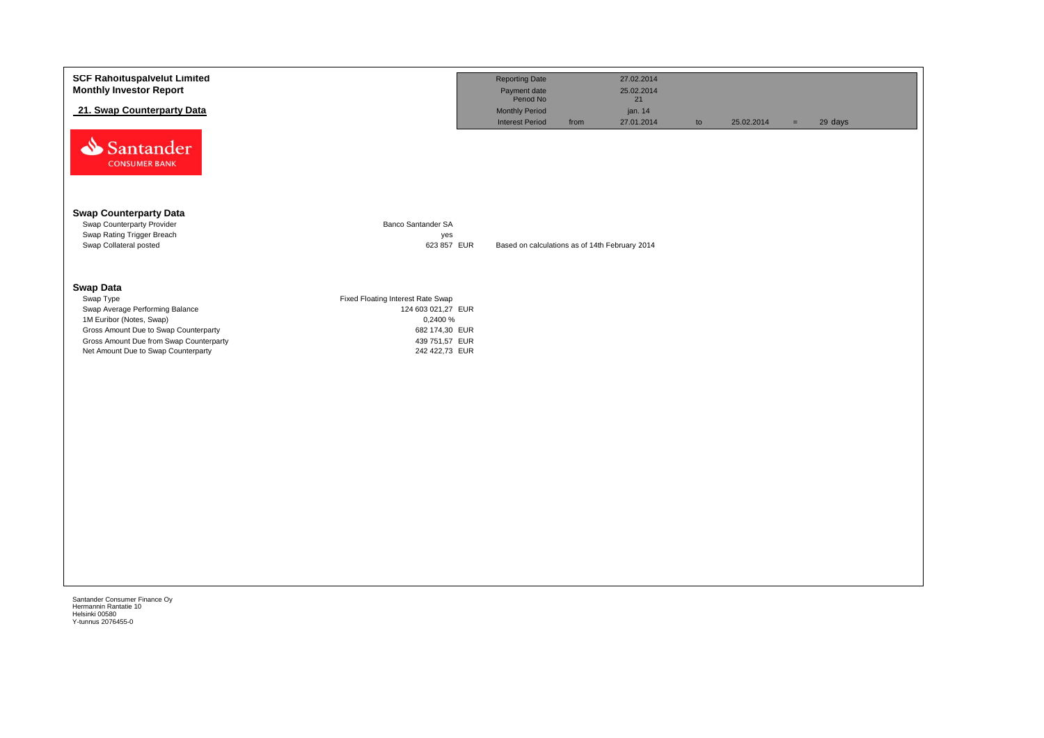| 21. Swap Counterparty Data<br><b>Monthly Period</b><br>jan. 14<br><b>Interest Period</b><br>27.01.2014<br>from<br>25.02.2014<br>29 days<br>to<br>$=$<br>Santander<br><b>CONSUMER BANK</b><br><b>Swap Counterparty Data</b><br>Swap Counterparty Provider<br>Banco Santander SA<br>Swap Rating Trigger Breach<br>yes<br>Swap Collateral posted<br>623 857 EUR<br>Based on calculations as of 14th February 2014<br><b>Swap Data</b><br>Swap Type<br>Fixed Floating Interest Rate Swap<br>Swap Average Performing Balance<br>124 603 021,27 EUR<br>1M Euribor (Notes, Swap)<br>0,2400 %<br>Gross Amount Due to Swap Counterparty<br>682 174,30 EUR<br>Gross Amount Due from Swap Counterparty<br>439 751,57 EUR<br>Net Amount Due to Swap Counterparty<br>242 422,73 EUR | <b>SCF Rahoituspalvelut Limited</b><br><b>Monthly Investor Report</b> | <b>Reporting Date</b><br>Payment date<br>Period No | 27.02.2014<br>25.02.2014 |  |  |
|------------------------------------------------------------------------------------------------------------------------------------------------------------------------------------------------------------------------------------------------------------------------------------------------------------------------------------------------------------------------------------------------------------------------------------------------------------------------------------------------------------------------------------------------------------------------------------------------------------------------------------------------------------------------------------------------------------------------------------------------------------------------|-----------------------------------------------------------------------|----------------------------------------------------|--------------------------|--|--|
|                                                                                                                                                                                                                                                                                                                                                                                                                                                                                                                                                                                                                                                                                                                                                                        |                                                                       |                                                    | 21                       |  |  |
|                                                                                                                                                                                                                                                                                                                                                                                                                                                                                                                                                                                                                                                                                                                                                                        |                                                                       |                                                    |                          |  |  |
|                                                                                                                                                                                                                                                                                                                                                                                                                                                                                                                                                                                                                                                                                                                                                                        |                                                                       |                                                    |                          |  |  |
|                                                                                                                                                                                                                                                                                                                                                                                                                                                                                                                                                                                                                                                                                                                                                                        |                                                                       |                                                    |                          |  |  |
|                                                                                                                                                                                                                                                                                                                                                                                                                                                                                                                                                                                                                                                                                                                                                                        |                                                                       |                                                    |                          |  |  |
|                                                                                                                                                                                                                                                                                                                                                                                                                                                                                                                                                                                                                                                                                                                                                                        |                                                                       |                                                    |                          |  |  |
|                                                                                                                                                                                                                                                                                                                                                                                                                                                                                                                                                                                                                                                                                                                                                                        |                                                                       |                                                    |                          |  |  |
|                                                                                                                                                                                                                                                                                                                                                                                                                                                                                                                                                                                                                                                                                                                                                                        |                                                                       |                                                    |                          |  |  |
|                                                                                                                                                                                                                                                                                                                                                                                                                                                                                                                                                                                                                                                                                                                                                                        |                                                                       |                                                    |                          |  |  |
|                                                                                                                                                                                                                                                                                                                                                                                                                                                                                                                                                                                                                                                                                                                                                                        |                                                                       |                                                    |                          |  |  |
|                                                                                                                                                                                                                                                                                                                                                                                                                                                                                                                                                                                                                                                                                                                                                                        |                                                                       |                                                    |                          |  |  |
|                                                                                                                                                                                                                                                                                                                                                                                                                                                                                                                                                                                                                                                                                                                                                                        |                                                                       |                                                    |                          |  |  |
|                                                                                                                                                                                                                                                                                                                                                                                                                                                                                                                                                                                                                                                                                                                                                                        |                                                                       |                                                    |                          |  |  |
|                                                                                                                                                                                                                                                                                                                                                                                                                                                                                                                                                                                                                                                                                                                                                                        |                                                                       |                                                    |                          |  |  |
|                                                                                                                                                                                                                                                                                                                                                                                                                                                                                                                                                                                                                                                                                                                                                                        |                                                                       |                                                    |                          |  |  |
|                                                                                                                                                                                                                                                                                                                                                                                                                                                                                                                                                                                                                                                                                                                                                                        |                                                                       |                                                    |                          |  |  |
|                                                                                                                                                                                                                                                                                                                                                                                                                                                                                                                                                                                                                                                                                                                                                                        |                                                                       |                                                    |                          |  |  |
|                                                                                                                                                                                                                                                                                                                                                                                                                                                                                                                                                                                                                                                                                                                                                                        |                                                                       |                                                    |                          |  |  |
|                                                                                                                                                                                                                                                                                                                                                                                                                                                                                                                                                                                                                                                                                                                                                                        |                                                                       |                                                    |                          |  |  |
|                                                                                                                                                                                                                                                                                                                                                                                                                                                                                                                                                                                                                                                                                                                                                                        |                                                                       |                                                    |                          |  |  |
|                                                                                                                                                                                                                                                                                                                                                                                                                                                                                                                                                                                                                                                                                                                                                                        |                                                                       |                                                    |                          |  |  |
|                                                                                                                                                                                                                                                                                                                                                                                                                                                                                                                                                                                                                                                                                                                                                                        |                                                                       |                                                    |                          |  |  |
|                                                                                                                                                                                                                                                                                                                                                                                                                                                                                                                                                                                                                                                                                                                                                                        | Santander Consumer Finance Oy                                         |                                                    |                          |  |  |

Hermannin Rantatie 10 Helsinki 00580 Y-tunnus 2076455-0